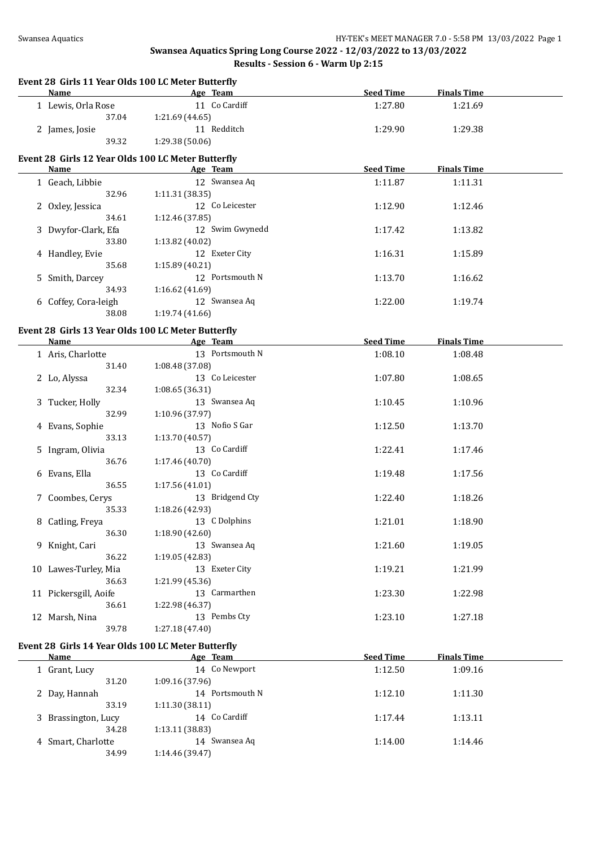### **Event 28 Girls 11 Year Olds 100 LC Meter Butterfly**

| <u>Name_</u>              | is II ieal Olus 100 LC Meter Butterily<br>Age Team | <b>Seed Time</b> | <b>Finals Time</b> |  |
|---------------------------|----------------------------------------------------|------------------|--------------------|--|
| 1 Lewis, Orla Rose        | 11 Co Cardiff                                      | 1:27.80          | 1:21.69            |  |
| 37.04                     | 1:21.69 (44.65)                                    |                  |                    |  |
| 2 James, Josie            | 11 Redditch                                        | 1:29.90          | 1:29.38            |  |
| 39.32                     | 1:29.38 (50.06)                                    |                  |                    |  |
|                           |                                                    |                  |                    |  |
|                           | Event 28 Girls 12 Year Olds 100 LC Meter Butterfly |                  |                    |  |
| Name                      | Age Team                                           | <b>Seed Time</b> | <b>Finals Time</b> |  |
| 1 Geach, Libbie           | 12 Swansea Aq                                      | 1:11.87          | 1:11.31            |  |
| 32.96                     | 1:11.31(38.35)                                     |                  |                    |  |
| 2 Oxley, Jessica          | 12 Co Leicester                                    | 1:12.90          | 1:12.46            |  |
| 34.61                     | 1:12.46 (37.85)                                    |                  |                    |  |
| 3 Dwyfor-Clark, Efa       | 12 Swim Gwynedd                                    | 1:17.42          | 1:13.82            |  |
| 33.80                     | 1:13.82 (40.02)                                    |                  |                    |  |
| 4 Handley, Evie           | 12 Exeter City                                     | 1:16.31          | 1:15.89            |  |
| 35.68                     | 1:15.89 (40.21)                                    |                  |                    |  |
| 5 Smith, Darcey           | 12 Portsmouth N                                    | 1:13.70          | 1:16.62            |  |
| 34.93                     | 1:16.62 (41.69)                                    |                  |                    |  |
| 6 Coffey, Cora-leigh      | 12 Swansea Aq                                      | 1:22.00          | 1:19.74            |  |
| 38.08                     | 1:19.74 (41.66)                                    |                  |                    |  |
|                           | Event 28 Girls 13 Year Olds 100 LC Meter Butterfly |                  |                    |  |
| Name                      | Age Team                                           | <b>Seed Time</b> | <b>Finals Time</b> |  |
| 1 Aris, Charlotte         | 13 Portsmouth N                                    | 1:08.10          | 1:08.48            |  |
| 31.40                     | 1:08.48 (37.08)                                    |                  |                    |  |
| 2 Lo, Alyssa              | 13 Co Leicester                                    | 1:07.80          | 1:08.65            |  |
| 32.34                     | 1:08.65 (36.31)                                    |                  |                    |  |
| 3 Tucker, Holly           | 13 Swansea Aq                                      | 1:10.45          | 1:10.96            |  |
| 32.99                     | 1:10.96 (37.97)                                    |                  |                    |  |
|                           | 13 Nofio S Gar                                     | 1:12.50          | 1:13.70            |  |
| 4 Evans, Sophie<br>33.13  | 1:13.70 (40.57)                                    |                  |                    |  |
|                           | 13 Co Cardiff                                      |                  |                    |  |
| 5 Ingram, Olivia<br>36.76 |                                                    | 1:22.41          | 1:17.46            |  |
|                           | 1:17.46 (40.70)<br>13 Co Cardiff                   |                  |                    |  |
| 6 Evans, Ella             |                                                    | 1:19.48          | 1:17.56            |  |
| 36.55                     | 1:17.56 (41.01)                                    |                  |                    |  |
| 7 Coombes, Cerys          | 13 Bridgend Cty                                    | 1:22.40          | 1:18.26            |  |
| 35.33                     | 1:18.26 (42.93)                                    |                  |                    |  |
| 8 Catling, Freya          | 13 C Dolphins                                      | 1:21.01          | 1:18.90            |  |
| 36.30                     | 1:18.90(42.60)                                     |                  |                    |  |
| 9 Knight, Cari            | 13 Swansea Aq                                      | 1:21.60          | 1:19.05            |  |
| 36.22                     | 1:19.05 (42.83)                                    |                  |                    |  |
| 10 Lawes-Turley, Mia      | 13 Exeter City                                     | 1:19.21          | 1:21.99            |  |
| 36.63                     | 1:21.99 (45.36)                                    |                  |                    |  |
| 11 Pickersgill, Aoife     | 13 Carmarthen                                      | 1:23.30          | 1:22.98            |  |
| 36.61                     | 1:22.98 (46.37)                                    |                  |                    |  |
| 12 Marsh, Nina            | 13 Pembs Cty                                       | 1:23.10          | 1:27.18            |  |
| 39.78                     | 1:27.18 (47.40)                                    |                  |                    |  |

#### **Event 28 Girls 14 Year Olds 100 LC Meter Butterfly**

 $\frac{1}{2}$ 

| Name  | Age Team                                                                    | <b>Seed Time</b> | <b>Finals Time</b> |  |
|-------|-----------------------------------------------------------------------------|------------------|--------------------|--|
|       | 14 Co Newport                                                               | 1:12.50          | 1:09.16            |  |
| 31.20 | 1:09.16(37.96)                                                              |                  |                    |  |
|       | 14 Portsmouth N                                                             | 1:12.10          | 1:11.30            |  |
| 33.19 | 1:11.30(38.11)                                                              |                  |                    |  |
|       | 14 Co Cardiff                                                               | 1:17.44          | 1:13.11            |  |
| 34.28 | 1:13.11(38.83)                                                              |                  |                    |  |
|       | 14 Swansea Ag                                                               | 1:14.00          | 1:14.46            |  |
| 34.99 | 1:14.46 (39.47)                                                             |                  |                    |  |
|       | 1 Grant, Lucy<br>2 Day, Hannah<br>3 Brassington, Lucy<br>4 Smart, Charlotte |                  |                    |  |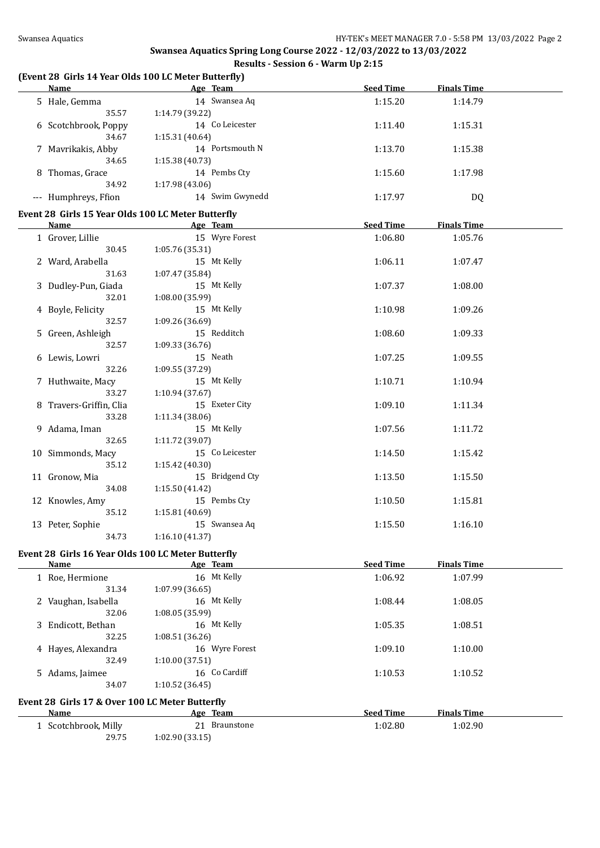# **Results - Session 6 - Warm Up 2:15**

# **(Event 28 Girls 14 Year Olds 100 LC Meter Butterfly)**

| <b>Name</b>                    | Age Team                                           | <b>Seed Time</b>                                                           | <b>Finals Time</b> |  |
|--------------------------------|----------------------------------------------------|----------------------------------------------------------------------------|--------------------|--|
| 5 Hale, Gemma                  | 14 Swansea Aq                                      | 1:15.20                                                                    | 1:14.79            |  |
| 35.57                          | 1:14.79 (39.22)                                    |                                                                            |                    |  |
| 6 Scotchbrook, Poppy           | 14 Co Leicester                                    | 1:11.40                                                                    | 1:15.31            |  |
| 34.67                          | 1:15.31 (40.64)                                    |                                                                            |                    |  |
| 7 Mavrikakis, Abby             | 14 Portsmouth N                                    | 1:13.70                                                                    | 1:15.38            |  |
| 34.65                          | 1:15.38 (40.73)                                    |                                                                            |                    |  |
| 8 Thomas, Grace                | 14 Pembs Cty                                       | 1:15.60                                                                    | 1:17.98            |  |
| 34.92                          | 1:17.98 (43.06)                                    |                                                                            |                    |  |
| --- Humphreys, Ffion           | 14 Swim Gwynedd                                    | 1:17.97                                                                    | <b>DQ</b>          |  |
|                                | Event 28 Girls 15 Year Olds 100 LC Meter Butterfly |                                                                            |                    |  |
| <b>Name</b>                    | Age Team                                           | <b>Seed Time</b>                                                           | <b>Finals Time</b> |  |
| 1 Grover, Lillie               | 15 Wyre Forest                                     | 1:06.80                                                                    | 1:05.76            |  |
| 30.45                          | 1:05.76 (35.31)                                    |                                                                            |                    |  |
| 2 Ward, Arabella               | 15 Mt Kelly                                        | 1:06.11                                                                    | 1:07.47            |  |
| 31.63                          | 1:07.47 (35.84)                                    |                                                                            |                    |  |
| 3 Dudley-Pun, Giada            | 15 Mt Kelly                                        | 1:07.37                                                                    | 1:08.00            |  |
| 32.01                          | 1:08.00 (35.99)                                    |                                                                            |                    |  |
| 4 Boyle, Felicity              | 15 Mt Kelly                                        | 1:10.98                                                                    | 1:09.26            |  |
| 32.57                          | 1:09.26 (36.69)                                    |                                                                            |                    |  |
| 5 Green, Ashleigh              | 15 Redditch                                        | 1:08.60                                                                    | 1:09.33            |  |
| 32.57                          | 1:09.33 (36.76)                                    |                                                                            |                    |  |
| 6 Lewis, Lowri                 | 15 Neath                                           | 1:07.25                                                                    | 1:09.55            |  |
| 32.26                          | 1:09.55 (37.29)                                    |                                                                            |                    |  |
| 7 Huthwaite, Macy              | 15 Mt Kelly                                        | 1:10.71                                                                    | 1:10.94            |  |
| 33.27                          | 1:10.94 (37.67)                                    |                                                                            |                    |  |
| 8 Travers-Griffin, Clia        | 15 Exeter City                                     | 1:09.10                                                                    | 1:11.34            |  |
| 33.28                          | 1:11.34 (38.06)                                    |                                                                            |                    |  |
| 9 Adama, Iman                  | 15 Mt Kelly                                        | 1:07.56                                                                    | 1:11.72            |  |
| 32.65                          | 1:11.72 (39.07)                                    |                                                                            |                    |  |
| 10 Simmonds, Macy              | 15 Co Leicester                                    | 1:14.50                                                                    | 1:15.42            |  |
| 35.12                          | 1:15.42 (40.30)                                    |                                                                            |                    |  |
| 11 Gronow, Mia                 | 15 Bridgend Cty                                    | 1:13.50                                                                    | 1:15.50            |  |
| 34.08                          | 1:15.50(41.42)                                     |                                                                            |                    |  |
| 12 Knowles, Amy                | 15 Pembs Cty                                       | 1:10.50                                                                    | 1:15.81            |  |
| 35.12                          | 1:15.81 (40.69)                                    |                                                                            |                    |  |
| 13 Peter, Sophie               | 15 Swansea Aq                                      | 1:15.50                                                                    | 1:16.10            |  |
| 34.73                          | 1:16.10(41.37)                                     |                                                                            |                    |  |
|                                | Event 28 Girls 16 Year Olds 100 LC Meter Butterfly |                                                                            |                    |  |
| Name                           | Age Team                                           | <b>Seed Time</b>                                                           | <b>Finals Time</b> |  |
| 1 Roe, Hermione                | 16 Mt Kelly                                        | 1:06.92                                                                    | 1:07.99            |  |
| 31.34                          | 1:07.99(36.65)                                     |                                                                            |                    |  |
| $2 \times 1$ $1 \times 1$ $11$ | $AC = M \cup U$                                    | $\overline{A}$ $\overline{A}$ $\overline{A}$ $\overline{A}$ $\overline{A}$ | 1.000              |  |

| -----                                              | --- <i>---</i> ------- |         |         |  |
|----------------------------------------------------|------------------------|---------|---------|--|
| 2 Vaughan, Isabella                                | 16 Mt Kelly            | 1:08.44 | 1:08.05 |  |
| 32.06                                              | 1:08.05(35.99)         |         |         |  |
| 3 Endicott, Bethan                                 | 16 Mt Kelly            | 1:05.35 | 1:08.51 |  |
| 32.25                                              | 1:08.51(36.26)         |         |         |  |
| 4 Hayes, Alexandra                                 | 16 Wyre Forest         | 1:09.10 | 1:10.00 |  |
| 32.49                                              | 1:10.00(37.51)         |         |         |  |
| 5 Adams, Jaimee                                    | 16 Co Cardiff          | 1:10.53 | 1:10.52 |  |
| 34.07                                              | 1:10.52(36.45)         |         |         |  |
| vent 28. Cirls 17. & Over 100 I.C. Meter Rutterfly |                        |         |         |  |

### **Event 28 Girls 17 & Over 100 LC Meter Butterfly**

| Name               | Team<br>Age             | <b>Seed Time</b> | <b>Finals Time</b> |  |
|--------------------|-------------------------|------------------|--------------------|--|
| Scotchbrook, Milly | 21<br><b>Braunstone</b> | 1:02.80          | 1:02.90            |  |
| 29.75              | 1:02.90(33.15)          |                  |                    |  |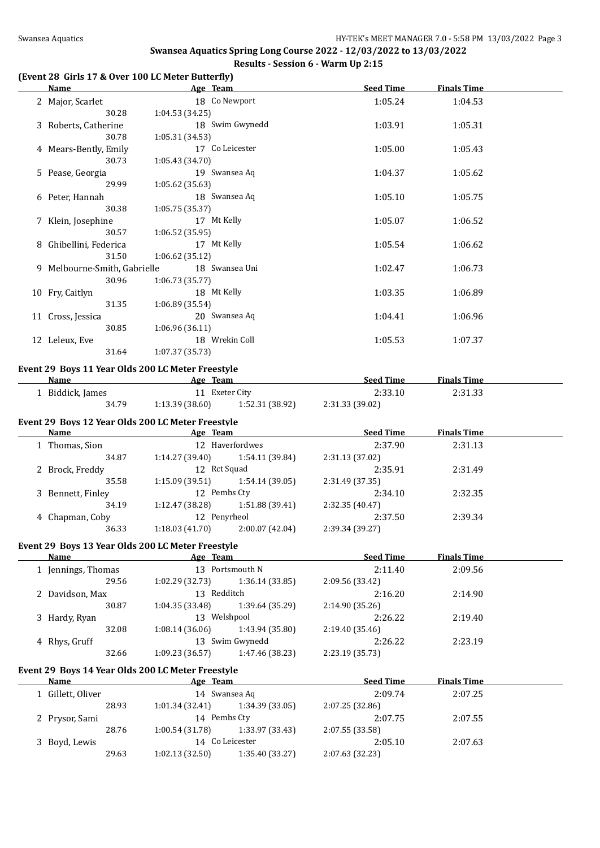#### **(Event 28 Girls 17 & Over 100 LC Meter Butterfly)**

| <b>Name</b>                  | Age Team                                          | <b>Seed Time</b> | <b>Finals Time</b> |  |
|------------------------------|---------------------------------------------------|------------------|--------------------|--|
| 2 Major, Scarlet             | 18 Co Newport                                     | 1:05.24          | 1:04.53            |  |
| 30.28                        | 1:04.53 (34.25)                                   |                  |                    |  |
| 3 Roberts, Catherine         | 18 Swim Gwynedd                                   | 1:03.91          | 1:05.31            |  |
| 30.78                        | 1:05.31 (34.53)                                   |                  |                    |  |
| 4 Mears-Bently, Emily        | 17 Co Leicester                                   | 1:05.00          | 1:05.43            |  |
| 30.73                        | 1:05.43 (34.70)                                   |                  |                    |  |
| 5 Pease, Georgia             | 19 Swansea Aq                                     | 1:04.37          | 1:05.62            |  |
| 29.99                        | 1:05.62 (35.63)                                   |                  |                    |  |
| 6 Peter, Hannah              | 18 Swansea Aq                                     | 1:05.10          | 1:05.75            |  |
| 30.38                        | 1:05.75 (35.37)                                   |                  |                    |  |
| 7 Klein, Josephine           | 17 Mt Kelly                                       | 1:05.07          | 1:06.52            |  |
| 30.57                        | 1:06.52 (35.95)                                   |                  |                    |  |
| 8 Ghibellini, Federica       | 17 Mt Kelly                                       | 1:05.54          | 1:06.62            |  |
| 31.50                        | 1:06.62 (35.12)                                   |                  |                    |  |
| 9 Melbourne-Smith, Gabrielle | 18 Swansea Uni                                    | 1:02.47          | 1:06.73            |  |
| 30.96                        | 1:06.73 (35.77)                                   |                  |                    |  |
| 10 Fry, Caitlyn              | 18 Mt Kelly                                       | 1:03.35          | 1:06.89            |  |
| 31.35                        | 1:06.89 (35.54)<br>20 Swansea Aq                  |                  |                    |  |
| 11 Cross, Jessica<br>30.85   | 1:06.96 (36.11)                                   | 1:04.41          | 1:06.96            |  |
| 12 Leleux, Eve               | 18 Wrekin Coll                                    | 1:05.53          | 1:07.37            |  |
| 31.64                        | 1:07.37 (35.73)                                   |                  |                    |  |
|                              |                                                   |                  |                    |  |
|                              | Event 29 Boys 11 Year Olds 200 LC Meter Freestyle |                  |                    |  |
| <b>Name</b>                  | <b>Example 2018</b> Age Team                      | <b>Seed Time</b> | <b>Finals Time</b> |  |
| 1 Biddick, James             | 11 Exeter City                                    | 2:33.10          | 2:31.33            |  |
| 34.79                        | 1:13.39(38.60)<br>1:52.31 (38.92)                 | 2:31.33 (39.02)  |                    |  |
|                              | Event 29 Boys 12 Year Olds 200 LC Meter Freestyle |                  |                    |  |
| <b>Name</b>                  | <b>Example 2</b> Age Team                         | <b>Seed Time</b> | <b>Finals Time</b> |  |
| 1 Thomas, Sion               | 12 Haverfordwes                                   | 2:37.90          | 2:31.13            |  |
| 34.87                        | 1:14.27 (39.40)<br>1:54.11 (39.84)                | 2:31.13 (37.02)  |                    |  |
| 2 Brock, Freddy              | 12 Rct Squad                                      | 2:35.91          | 2:31.49            |  |
| 35.58                        | 1:15.09(39.51)<br>1:54.14(39.05)                  | 2:31.49 (37.35)  |                    |  |
| 3 Bennett, Finley            | 12 Pembs Cty                                      | 2:34.10          | 2:32.35            |  |
| 34.19                        | 1:12.47 (38.28)<br>1:51.88(39.41)                 | 2:32.35 (40.47)  |                    |  |
| 4 Chapman, Coby              | 12 Penyrheol                                      | 2:37.50          | 2:39.34            |  |
| 36.33                        | 1:18.03(41.70)<br>2:00.07 (42.04)                 | 2:39.34 (39.27)  |                    |  |
|                              | Event 29 Boys 13 Year Olds 200 LC Meter Freestyle |                  |                    |  |
| <b>Name</b>                  | Age Team                                          | <b>Seed Time</b> | <b>Finals Time</b> |  |
| 1 Jennings, Thomas           | 13 Portsmouth N                                   | 2:11.40          | 2:09.56            |  |
| 29.56                        | 1:02.29 (32.73)<br>1:36.14 (33.85)                | 2:09.56 (33.42)  |                    |  |
| 2 Davidson, Max              | 13 Redditch                                       | 2:16.20          | 2:14.90            |  |
| 30.87                        | 1:04.35 (33.48)<br>1:39.64 (35.29)                | 2:14.90 (35.26)  |                    |  |
| 3 Hardy, Ryan                | 13 Welshpool                                      | 2:26.22          | 2:19.40            |  |
| 32.08                        | 1:43.94 (35.80)<br>1:08.14 (36.06)                | 2:19.40 (35.46)  |                    |  |
| 4 Rhys, Gruff                | 13 Swim Gwynedd                                   | 2:26.22          | 2:23.19            |  |
| 32.66                        | 1:09.23 (36.57)<br>1:47.46 (38.23)                | 2:23.19 (35.73)  |                    |  |
|                              | Event 29 Boys 14 Year Olds 200 LC Meter Freestyle |                  |                    |  |
| Name                         | Age Team                                          | <b>Seed Time</b> | <b>Finals Time</b> |  |
| 1 Gillett, Oliver            | 14 Swansea Aq                                     | 2:09.74          | 2:07.25            |  |
| 28.93                        | 1:01.34 (32.41)<br>1:34.39 (33.05)                | 2:07.25 (32.86)  |                    |  |
| 2 Prysor, Sami               | 14 Pembs Cty                                      | 2:07.75          | 2:07.55            |  |
| 28.76                        | 1:33.97 (33.43)<br>1:00.54 (31.78)                | 2:07.55 (33.58)  |                    |  |
| 3 Boyd, Lewis                | 14 Co Leicester                                   | 2:05.10          | 2:07.63            |  |
| 29.63                        | 1:35.40 (33.27)<br>1:02.13 (32.50)                | 2:07.63 (32.23)  |                    |  |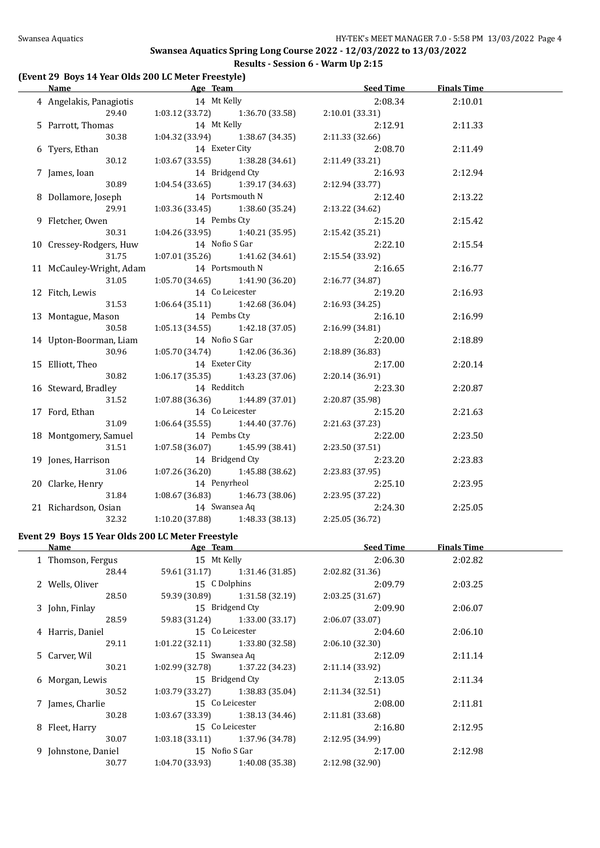# **(Event 29 Boys 14 Year Olds 200 LC Meter Freestyle)**

| <b>Name</b>                         | <b>Example 2</b> Age Team |                                         | Seed Time       | <b>Finals Time</b> |  |
|-------------------------------------|---------------------------|-----------------------------------------|-----------------|--------------------|--|
| 4 Angelakis, Panagiotis 14 Mt Kelly |                           |                                         | 2:08.34         | 2:10.01            |  |
| 29.40                               |                           | $1:03.12$ $(33.72)$ $1:36.70$ $(33.58)$ | 2:10.01 (33.31) |                    |  |
| 5 Parrott, Thomas                   | 14 Mt Kelly               |                                         | 2:12.91         | 2:11.33            |  |
| 30.38                               |                           | $1:04.32$ (33.94) $1:38.67$ (34.35)     | 2:11.33 (32.66) |                    |  |
| 6 Tyers, Ethan                      | 14 Exeter City            |                                         | 2:08.70         | 2:11.49            |  |
| 30.12                               |                           | $1:03.67(33.55)$ $1:38.28(34.61)$       | 2:11.49 (33.21) |                    |  |
| 7 James, Ioan                       |                           | 14 Bridgend Cty                         | 2:16.93         | 2:12.94            |  |
| 30.89                               |                           | $1:04.54(33.65)$ $1:39.17(34.63)$       | 2:12.94 (33.77) |                    |  |
| 8 Dollamore, Joseph                 | 14 Portsmouth N           |                                         | 2:12.40         | 2:13.22            |  |
| 29.91                               |                           | $1:03.36(33.45)$ $1:38.60(35.24)$       | 2:13.22(34.62)  |                    |  |
| 9 Fletcher, Owen                    | 14 Pembs Cty              |                                         | 2:15.20         | 2:15.42            |  |
| 30.31                               |                           | $1:04.26(33.95)$ $1:40.21(35.95)$       | 2:15.42(35.21)  |                    |  |
| 10 Cressey-Rodgers, Huw             | 14 Nofio S Gar            |                                         | 2:22.10         | 2:15.54            |  |
| 31.75                               |                           | $1:07.01(35.26)$ $1:41.62(34.61)$       | 2:15.54 (33.92) |                    |  |
| 11 McCauley-Wright, Adam            |                           | 14 Portsmouth N                         | 2:16.65         | 2:16.77            |  |
| 31.05                               |                           | $1:05.70(34.65)$ $1:41.90(36.20)$       | 2:16.77(34.87)  |                    |  |
| 12 Fitch, Lewis                     |                           | 14 Co Leicester                         | 2:19.20         | 2:16.93            |  |
| 31.53                               |                           | $1:06.64(35.11)$ $1:42.68(36.04)$       | 2:16.93(34.25)  |                    |  |
| 13 Montague, Mason                  | 14 Pembs Cty              |                                         | 2:16.10         | 2:16.99            |  |
| 30.58                               |                           | $1:05.13(34.55)$ $1:42.18(37.05)$       | 2:16.99(34.81)  |                    |  |
| 14 Upton-Boorman, Liam              | 14 Nofio S Gar            |                                         | 2:20.00         | 2:18.89            |  |
| 30.96                               |                           | $1:05.70(34.74)$ $1:42.06(36.36)$       | 2:18.89 (36.83) |                    |  |
| 15 Elliott, Theo                    | 14 Exeter City            |                                         | 2:17.00         | 2:20.14            |  |
| 30.82                               |                           | $1:06.17(35.35)$ $1:43.23(37.06)$       | 2:20.14 (36.91) |                    |  |
| 16 Steward, Bradley                 | 14 Redditch               |                                         | 2:23.30         | 2:20.87            |  |
| 31.52                               |                           | $1:07.88(36.36)$ $1:44.89(37.01)$       | 2:20.87 (35.98) |                    |  |
| 17 Ford, Ethan                      | 14 Co Leicester           |                                         | 2:15.20         | 2:21.63            |  |
| 31.09                               |                           | $1:06.64(35.55)$ $1:44.40(37.76)$       | 2:21.63 (37.23) |                    |  |
| 18 Montgomery, Samuel               | 14 Pembs Cty              |                                         | 2:22.00         | 2:23.50            |  |
| 31.51                               |                           | $1:07.58(36.07)$ $1:45.99(38.41)$       | 2:23.50 (37.51) |                    |  |
| 19 Jones, Harrison                  | 14 Bridgend Cty           |                                         | 2:23.20         | 2:23.83            |  |
| 31.06                               |                           | $1:07.26(36.20)$ $1:45.88(38.62)$       | 2:23.83 (37.95) |                    |  |
| 20 Clarke, Henry                    | 14 Penyrheol              |                                         | 2:25.10         | 2:23.95            |  |
| 31.84                               |                           | $1:08.67(36.83)$ $1:46.73(38.06)$       | 2:23.95 (37.22) |                    |  |
| 21 Richardson, Osian                | 14 Swansea Aq             |                                         | 2:24.30         | 2:25.05            |  |
| 32.32                               |                           | $1:10.20(37.88)$ $1:48.33(38.13)$       | 2:25.05 (36.72) |                    |  |

#### **Event 29 Boys 15 Year Olds 200 LC Meter Freestyle**

| Name                | Age Team        |                                         | <b>Seed Time</b> | <b>Finals Time</b> |
|---------------------|-----------------|-----------------------------------------|------------------|--------------------|
| 1 Thomson, Fergus   | 15 Mt Kelly     |                                         | 2:06.30          | 2:02.82            |
| 28.44               |                 | 59.61 (31.17) 1:31.46 (31.85)           | 2:02.82(31.36)   |                    |
| 2 Wells, Oliver     | 15 C Dolphins   |                                         | 2:09.79          | 2:03.25            |
| 28.50               |                 | 59.39 (30.89) 1:31.58 (32.19)           | 2:03.25(31.67)   |                    |
| 3 John, Finlay      |                 | 15 Bridgend Cty                         | 2:09.90          | 2:06.07            |
| 28.59               |                 | 59.83 (31.24) 1:33.00 (33.17)           | 2:06.07 (33.07)  |                    |
| 4 Harris, Daniel    |                 | 15 Co Leicester                         | 2:04.60          | 2:06.10            |
| 29.11               |                 | $1:01.22$ (32.11) $1:33.80$ (32.58)     | 2:06.10(32.30)   |                    |
| 5 Carver, Wil       |                 | 15 Swansea Aq                           | 2:12.09          | 2:11.14            |
| 30.21               |                 | $1:02.99$ $(32.78)$ $1:37.22$ $(34.23)$ | 2:11.14 (33.92)  |                    |
| 6 Morgan, Lewis     |                 | 15 Bridgend Cty                         | 2:13.05          | 2:11.34            |
| 30.52               |                 | $1:03.79$ $(33.27)$ $1:38.83$ $(35.04)$ | 2:11.34(32.51)   |                    |
| 7 James, Charlie    |                 | 15 Co Leicester                         | 2:08.00          | 2:11.81            |
| 30.28               |                 | $1:03.67(33.39)$ $1:38.13(34.46)$       | 2:11.81(33.68)   |                    |
| 8 Fleet, Harry      | 15 Co Leicester |                                         | 2:16.80          | 2:12.95            |
| 30.07               |                 | $1:03.18(33.11)$ $1:37.96(34.78)$       | 2:12.95 (34.99)  |                    |
| 9 Johnstone, Daniel | 15 Nofio S Gar  |                                         | 2:17.00          | 2:12.98            |
| 30.77               |                 | $1:04.70(33.93)$ $1:40.08(35.38)$       | 2:12.98 (32.90)  |                    |
|                     |                 |                                         |                  |                    |

|                 | <b>Seed Time</b> | <b>Finals Time</b> |  |
|-----------------|------------------|--------------------|--|
|                 | 2:06.30          | 2:02.82            |  |
| 2:02.82 (31.36) |                  |                    |  |
|                 | 2:09.79          | 2:03.25            |  |
| 2:03.25 (31.67) |                  |                    |  |
|                 | 2:09.90          | 2:06.07            |  |
| 2:06.07 (33.07) |                  |                    |  |
|                 | 2:04.60          | 2:06.10            |  |
| 2:06.10 (32.30) |                  |                    |  |
|                 | 2:12.09          | 2:11.14            |  |
| 2:11.14 (33.92) |                  |                    |  |
|                 | 2:13.05          | 2:11.34            |  |
| 2:11.34 (32.51) |                  |                    |  |
|                 | 2:08.00          | 2:11.81            |  |
| 2:11.81 (33.68) |                  |                    |  |
|                 | 2:16.80          | 2:12.95            |  |
| 2:12.95 (34.99) |                  |                    |  |
|                 | 2:17.00          | 2:12.98            |  |
| 2:12.98 (32.90) |                  |                    |  |
|                 |                  |                    |  |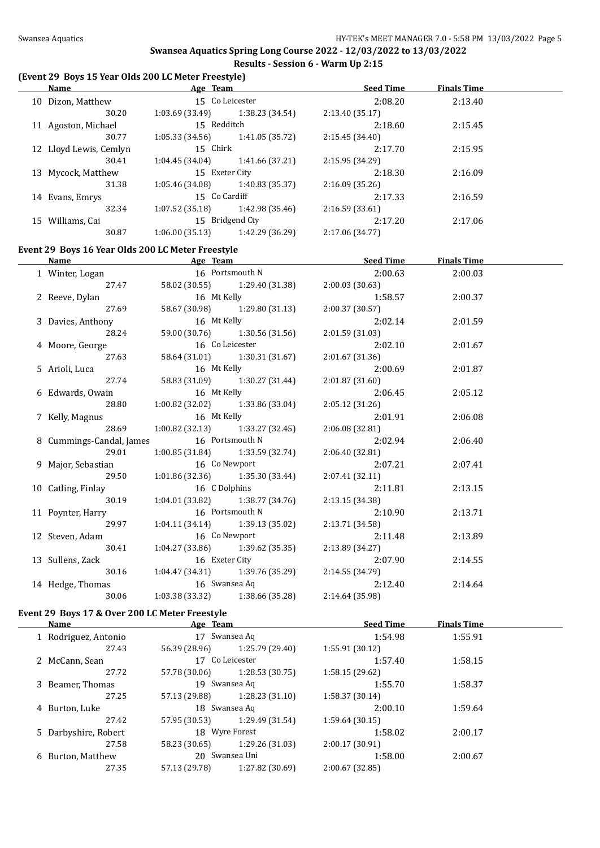#### **(Event 29 Boys 15 Year Olds 200 LC Meter Freestyle)**

|  | Name                                              | <b>Example 2</b> Age Team         |                                     | <b>Example 2 Seed Time</b> Finals Time |         |  |
|--|---------------------------------------------------|-----------------------------------|-------------------------------------|----------------------------------------|---------|--|
|  |                                                   | 10 Dizon, Matthew 15 Co Leicester |                                     | 2:08.20                                | 2:13.40 |  |
|  |                                                   | 30.20 1:03.69 (33.49)             | 1:38.23 (34.54)                     | 2:13.40 (35.17)                        |         |  |
|  | 11 Agoston, Michael                               | 15 Redditch                       |                                     | 2:18.60                                | 2:15.45 |  |
|  | 30.77                                             |                                   | $1:05.33(34.56)$ $1:41.05(35.72)$   | 2:15.45 (34.40)                        |         |  |
|  | 12 Lloyd Lewis, Cemlyn                            | 15 Chirk                          |                                     | 2:17.70                                | 2:15.95 |  |
|  | 30.41                                             | 1:04.45(34.04)                    | 1:41.66 (37.21)                     | 2:15.95 (34.29)                        |         |  |
|  | 13 Mycock, Matthew                                | 15 Exeter City                    |                                     | 2:18.30                                | 2:16.09 |  |
|  | 31.38                                             |                                   | $1:05.46(34.08)$ $1:40.83(35.37)$   | 2:16.09 (35.26)                        |         |  |
|  | 14 Evans, Emrys                                   | 15 Co Cardiff                     |                                     | 2:17.33                                | 2:16.59 |  |
|  | 32.34                                             |                                   | $1:07.52(35.18)$ $1:42.98(35.46)$   | 2:16.59 (33.61)                        |         |  |
|  | 15 Williams, Cai                                  |                                   | 15 Bridgend Cty                     | 2:17.20                                | 2:17.06 |  |
|  | 30.87                                             |                                   | $1:06.00(35.13)$ $1:42.29(36.29)$   | 2:17.06 (34.77)                        |         |  |
|  | Event 29 Boys 16 Year Olds 200 LC Meter Freestyle |                                   |                                     |                                        |         |  |
|  | Name                                              | <b>Age Team</b>                   |                                     | <b>Example 2 Seed Time</b> Finals Time |         |  |
|  | 1 Winter, Logan                                   |                                   | 16 Portsmouth N                     | 2:00.63                                | 2:00.03 |  |
|  | 27.47                                             |                                   | 58.02 (30.55) 1:29.40 (31.38)       | 2:00.03 (30.63)                        |         |  |
|  | 2 Reeve, Dylan                                    | 16 Mt Kelly                       |                                     | 1:58.57                                | 2:00.37 |  |
|  | 27.69                                             |                                   | 58.67 (30.98) 1:29.80 (31.13)       | 2:00.37 (30.57)                        |         |  |
|  | 3 Davies, Anthony                                 | 16 Mt Kelly                       |                                     | 2:02.14                                | 2:01.59 |  |
|  | 28.24                                             |                                   | 59.00 (30.76) 1:30.56 (31.56)       | 2:01.59 (31.03)                        |         |  |
|  | 4 Moore, George                                   | 16 Co Leicester                   |                                     | 2:02.10                                | 2:01.67 |  |
|  | 27.63                                             |                                   | 58.64 (31.01) 1:30.31 (31.67)       | 2:01.67 (31.36)                        |         |  |
|  | 5 Arioli, Luca                                    | 16 Mt Kelly                       |                                     | 2:00.69                                | 2:01.87 |  |
|  | 27.74                                             |                                   | 58.83 (31.09) 1:30.27 (31.44)       | 2:01.87 (31.60)                        |         |  |
|  | 6 Edwards, Owain                                  | 16 Mt Kelly                       |                                     | 2:06.45                                | 2:05.12 |  |
|  | 28.80                                             |                                   | 1:00.82 (32.02) 1:33.86 (33.04)     | 2:05.12 (31.26)                        |         |  |
|  | 7 Kelly, Magnus                                   | 16 Mt Kelly                       |                                     | 2:01.91                                | 2:06.08 |  |
|  | 28.69                                             |                                   | $1:00.82$ (32.13) $1:33.27$ (32.45) | 2:06.08 (32.81)                        |         |  |
|  | 8 Cummings-Candal, James                          | 16 Portsmouth N                   |                                     | 2:02.94                                | 2:06.40 |  |
|  | 29.01                                             |                                   | $1:00.85(31.84)$ $1:33.59(32.74)$   | 2:06.40 (32.81)                        |         |  |
|  | 9 Major, Sebastian                                | 16 Co Newport                     |                                     | 2:07.21                                | 2:07.41 |  |
|  | 29.50                                             |                                   | 1:01.86 (32.36) 1:35.30 (33.44)     | 2:07.41 (32.11)                        |         |  |
|  | 10 Catling, Finlay                                | 16 C Dolphins                     |                                     | 2:11.81                                | 2:13.15 |  |
|  | 30.19                                             |                                   | $1:04.01(33.82)$ $1:38.77(34.76)$   | 2:13.15 (34.38)                        |         |  |
|  | 11 Poynter, Harry                                 |                                   | 16 Portsmouth N                     | 2:10.90                                | 2:13.71 |  |
|  | 29.97                                             |                                   | $1:04.11(34.14)$ $1:39.13(35.02)$   | 2:13.71 (34.58)                        |         |  |
|  | 12 Steven, Adam                                   | 16 Co Newport                     |                                     | 2:11.48                                | 2:13.89 |  |

#### 30.41 1:04.27 (33.86) 1:39.62 (35.35) 2:13.89 (34.27) 13 Sullens, Zack 16 Exeter City 2:07.90 2:14.55 30.16 1:04.47 (34.31) 1:39.76 (35.29) 2:14.55 (34.79) 14 Hedge, Thomas 16 Swansea Aq 2:12.40 2:12.40 2:14.64 30.06 1:03.38 (33.32) 1:38.66 (35.28) 2:14.64 (35.98) 30.06 1:03.38 (33.32) 1:38.66 (35.28) 2:14.64 (35.98)

#### **Event 29 Boys 17 & Over 200 LC Meter Freestyle**

|   | Name                 | Age Team      |                 | <b>Seed Time</b> | <b>Finals Time</b> |  |
|---|----------------------|---------------|-----------------|------------------|--------------------|--|
|   | 1 Rodriguez, Antonio | 17            | Swansea Aq      | 1:54.98          | 1:55.91            |  |
|   | 27.43                | 56.39 (28.96) | 1:25.79 (29.40) | 1:55.91(30.12)   |                    |  |
|   | 2 McCann, Sean       |               | 17 Co Leicester | 1:57.40          | 1:58.15            |  |
|   | 27.72                | 57.78 (30.06) | 1:28.53(30.75)  | 1:58.15(29.62)   |                    |  |
|   | 3 Beamer, Thomas     |               | 19 Swansea Aq   | 1:55.70          | 1:58.37            |  |
|   | 27.25                | 57.13 (29.88) | 1:28.23(31.10)  | 1:58.37 (30.14)  |                    |  |
|   | 4 Burton, Luke       |               | 18 Swansea Ag   | 2:00.10          | 1:59.64            |  |
|   | 27.42                | 57.95 (30.53) | 1:29.49 (31.54) | 1:59.64(30.15)   |                    |  |
|   | 5 Darbyshire, Robert |               | 18 Wyre Forest  | 1:58.02          | 2:00.17            |  |
|   | 27.58                | 58.23 (30.65) | 1:29.26 (31.03) | 2:00.17 (30.91)  |                    |  |
| 6 | Burton, Matthew      |               | 20 Swansea Uni  | 1:58.00          | 2:00.67            |  |
|   | 27.35                | 57.13 (29.78) | 1:27.82 (30.69) | 2:00.67(32.85)   |                    |  |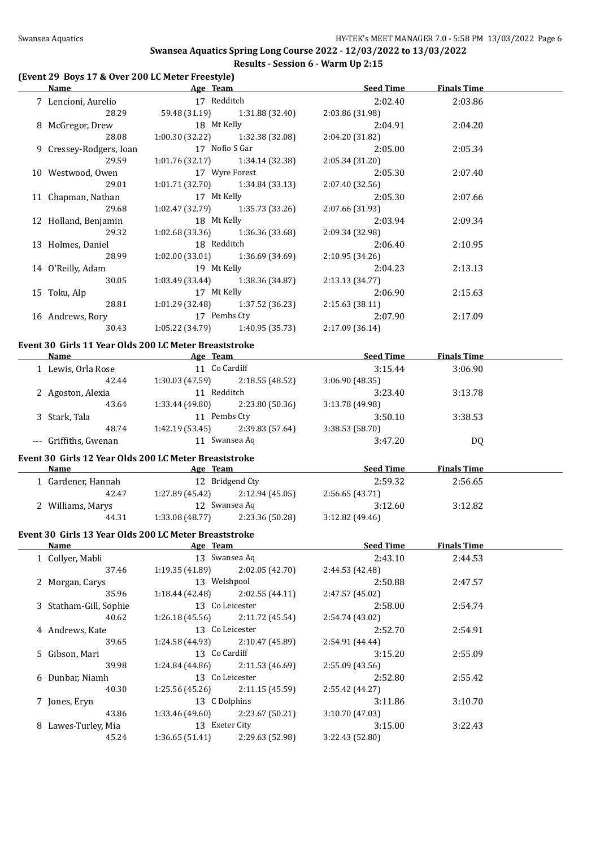#### **(Event 29 Boys 17 & Over 200 LC Meter Freestyle)**

| (Event 29 Boys 17 & Over 200 LC Meter Freestyle)      |                                   |                                   | <u>Seed Time</u>           |                    |  |
|-------------------------------------------------------|-----------------------------------|-----------------------------------|----------------------------|--------------------|--|
| Name                                                  | <b>Example 2</b> Age Team         |                                   |                            | <b>Finals Time</b> |  |
| 7 Lencioni, Aurelio                                   | 17 Redditch                       |                                   | 2:02.40                    | 2:03.86            |  |
| 28.29                                                 |                                   | 59.48 (31.19) 1:31.88 (32.40)     | 2:03.86 (31.98)            |                    |  |
| 8 McGregor, Drew                                      | 18 Mt Kelly                       |                                   | 2:04.91                    | 2:04.20            |  |
| 28.08                                                 | 1:00.30 (32.22) 1:32.38 (32.08)   |                                   | 2:04.20 (31.82)            |                    |  |
| 9 Cressey-Rodgers, Ioan                               | 17 Nofio S Gar                    |                                   | 2:05.00                    | 2:05.34            |  |
| 29.59                                                 | $1:01.76(32.17)$ $1:34.14(32.38)$ |                                   | 2:05.34 (31.20)            |                    |  |
| 10 Westwood, Owen                                     | 17 Wyre Forest                    |                                   | 2:05.30                    | 2:07.40            |  |
| 29.01                                                 | $1:01.71(32.70)$ $1:34.84(33.13)$ |                                   | 2:07.40 (32.56)            |                    |  |
| 11 Chapman, Nathan                                    | 17 Mt Kelly                       |                                   | 2:05.30                    | 2:07.66            |  |
| 29.68                                                 |                                   | $1:02.47(32.79)$ $1:35.73(33.26)$ |                            |                    |  |
| 12 Holland, Benjamin                                  | 18 Mt Kelly                       |                                   | 2:07.66 (31.93)<br>2:03.94 | 2:09.34            |  |
| 29.32                                                 | 1:02.68 (33.36) 1:36.36 (33.68)   |                                   | 2:09.34 (32.98)            |                    |  |
| 13 Holmes, Daniel                                     | 18 Redditch                       |                                   | 2:06.40                    | 2:10.95            |  |
| 28.99                                                 | $1:02.00(33.01)$ $1:36.69(34.69)$ |                                   | 2:10.95 (34.26)            |                    |  |
|                                                       | 19 Mt Kelly                       |                                   |                            |                    |  |
| 14 O'Reilly, Adam                                     |                                   |                                   | 2:04.23                    | 2:13.13            |  |
| 30.05                                                 | 1:03.49 (33.44) 1:38.36 (34.87)   |                                   | 2:13.13 (34.77)            |                    |  |
| 15 Toku, Alp                                          | 17 Mt Kelly                       |                                   | 2:06.90                    | 2:15.63            |  |
| 28.81                                                 | 1:01.29 (32.48) 1:37.52 (36.23)   |                                   | 2:15.63(38.11)             |                    |  |
| 16 Andrews, Rory                                      | 17 Pembs Cty                      |                                   | 2:07.90                    | 2:17.09            |  |
| 30.43                                                 | $1:05.22(34.79)$ $1:40.95(35.73)$ |                                   | 2:17.09(36.14)             |                    |  |
| Event 30 Girls 11 Year Olds 200 LC Meter Breaststroke |                                   |                                   |                            |                    |  |
| Name                                                  | <b>Example 2018</b> Age Team      |                                   | <b>Seed Time</b>           | <b>Finals Time</b> |  |
| 1 Lewis, Orla Rose                                    | 11 Co Cardiff                     |                                   | 3:15.44                    | 3:06.90            |  |
| 42.44                                                 | 1:30.03 (47.59)                   | 2:18.55 (48.52)                   | 3:06.90 (48.35)            |                    |  |
|                                                       | 11 Redditch                       |                                   | 3:23.40                    |                    |  |
| 2 Agoston, Alexia                                     |                                   |                                   |                            | 3:13.78            |  |
| 43.64                                                 | 1:33.44 (49.80)                   | 2:23.80 (50.36)                   | 3:13.78 (49.98)            |                    |  |
| 3 Stark, Tala                                         | 11 Pembs Cty                      |                                   | 3:50.10                    | 3:38.53            |  |
| 48.74                                                 | $1:42.19(53.45)$ $2:39.83(57.64)$ |                                   | 3:38.53 (58.70)            |                    |  |
| --- Griffiths, Gwenan                                 | 11 Swansea Aq                     |                                   | 3:47.20                    | DQ                 |  |
| Event 30 Girls 12 Year Olds 200 LC Meter Breaststroke |                                   |                                   |                            |                    |  |
| Name                                                  | <b>Example 2</b> Age Team         |                                   | <u>Seed Time</u>           | <b>Finals Time</b> |  |
| 1 Gardener, Hannah                                    | 12 Bridgend Cty                   |                                   | 2:59.32                    | 2:56.65            |  |
|                                                       | 42.47 1:27.89 (45.42)             | 2:12.94 (45.05)                   | 2:56.65(43.71)             |                    |  |
| 2 Williams, Marys                                     | 12 Swansea Aq                     |                                   | 3:12.60                    | 3:12.82            |  |
| 44.31                                                 | 1:33.08 (48.77)                   | 2:23.36 (50.28)                   | 3:12.82(49.46)             |                    |  |
|                                                       |                                   |                                   |                            |                    |  |
| Event 30 Girls 13 Year Olds 200 LC Meter Breaststroke |                                   |                                   |                            |                    |  |
| <b>Name</b>                                           | Age Team                          |                                   | <b>Seed Time</b>           | <b>Finals Time</b> |  |
| 1 Collyer, Mabli                                      | 13 Swansea Aq                     |                                   | 2:43.10                    | 2:44.53            |  |
| 37.46                                                 | 1:19.35(41.89)                    | 2:02.05 (42.70)                   | 2:44.53 (42.48)            |                    |  |
| 2 Morgan, Carys                                       | 13 Welshpool                      |                                   | 2:50.88                    | 2:47.57            |  |
| 35.96                                                 | 1:18.44 (42.48)                   | 2:02.55 (44.11)                   | 2:47.57 (45.02)            |                    |  |
| 3 Statham-Gill, Sophie                                | 13 Co Leicester                   |                                   | 2:58.00                    | 2:54.74            |  |
| 40.62                                                 | 1:26.18(45.56)                    | 2:11.72 (45.54)                   | 2:54.74 (43.02)            |                    |  |
| 4 Andrews, Kate                                       | 13 Co Leicester                   |                                   | 2:52.70                    | 2:54.91            |  |
| 39.65                                                 | 1:24.58 (44.93)                   | 2:10.47 (45.89)                   | 2:54.91 (44.44)            |                    |  |
| 5 Gibson, Mari                                        | 13 Co Cardiff                     |                                   | 3:15.20                    | 2:55.09            |  |
| 39.98                                                 | 1:24.84(44.86)                    | 2:11.53 (46.69)                   |                            |                    |  |
|                                                       |                                   |                                   | 2:55.09 (43.56)            |                    |  |
| 6 Dunbar, Niamh                                       | 13 Co Leicester                   |                                   | 2:52.80                    | 2:55.42            |  |
| 40.30                                                 | 1:25.56 (45.26)                   | 2:11.15 (45.59)                   | 2:55.42 (44.27)            |                    |  |
| 7 Jones, Eryn                                         | 13 C Dolphins                     |                                   | 3:11.86                    | 3:10.70            |  |
| 43.86                                                 | 1:33.46 (49.60)                   | 2:23.67 (50.21)                   | 3:10.70 (47.03)            |                    |  |
| 8 Lawes-Turley, Mia                                   | 13 Exeter City                    |                                   | 3:15.00                    | 3:22.43            |  |

45.24 1:36.65 (51.41) 2:29.63 (52.98) 3:22.43 (52.80)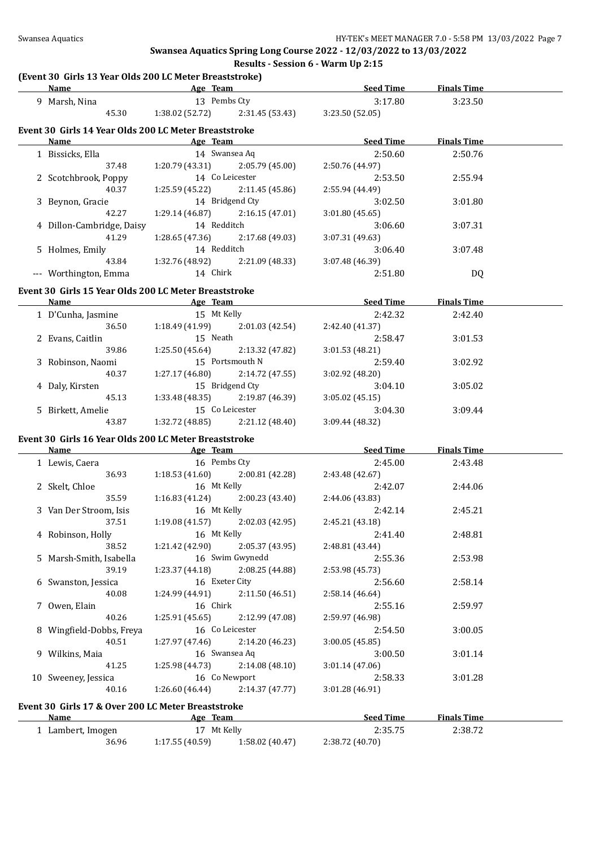#### **Results - Session 6 - Warm Up 2:15**

#### **(Event 30 Girls 13 Year Olds 200 LC Meter Breaststroke)**

| Name                                                          | <b>Example 2</b> Age Team | the control of the control of the control of the control of the control of | Seed Time                             | <b>Finals Time</b> |  |
|---------------------------------------------------------------|---------------------------|----------------------------------------------------------------------------|---------------------------------------|--------------------|--|
| 9 Marsh, Nina                                                 | 13 Pembs Cty              |                                                                            | 3:17.80                               | 3:23.50            |  |
|                                                               |                           | 45.30 1:38.02 (52.72) 2:31.45 (53.43) 3:23.50 (52.05)                      |                                       |                    |  |
|                                                               |                           |                                                                            |                                       |                    |  |
| Event 30 Girls 14 Year Olds 200 LC Meter Breaststroke<br>Name |                           |                                                                            | <u>Seed Time</u>                      | <b>Finals Time</b> |  |
|                                                               | Age Team<br>14 Swansea Aq |                                                                            |                                       |                    |  |
| 1 Bissicks, Ella                                              |                           |                                                                            | 2:50.60                               | 2:50.76            |  |
|                                                               | 14 Co Leicester           | 37.48 1:20.79 (43.31) 2:05.79 (45.00)                                      | 2:50.76 (44.97)                       |                    |  |
| 2 Scotchbrook, Poppy                                          |                           | 40.37 1:25.59 (45.22) 2:11.45 (45.86)                                      | 2:53.50                               | 2:55.94            |  |
|                                                               |                           | 14 Bridgend Cty                                                            | 2:55.94 (44.49)                       | 3:01.80            |  |
| 3 Beynon, Gracie                                              |                           | 42.27 1:29.14 (46.87) 2:16.15 (47.01)                                      | 3:02.50<br>3:01.80(45.65)             |                    |  |
| 4 Dillon-Cambridge, Daisy 14 Redditch                         |                           |                                                                            |                                       |                    |  |
| 41.29                                                         |                           | $1:28.65(47.36)$ $2:17.68(49.03)$                                          | 3:06.60<br>3:07.31 (49.63)            | 3:07.31            |  |
|                                                               |                           | 14 Redditch                                                                |                                       |                    |  |
| 5 Holmes, Emily                                               |                           | 43.84 1:32.76 (48.92) 2:21.09 (48.33)                                      | 3:06.40<br>3:07.48 (46.39)            | 3:07.48            |  |
| --- Worthington, Emma                                         | 14 Chirk                  |                                                                            | 2:51.80                               |                    |  |
|                                                               |                           |                                                                            |                                       | DQ                 |  |
| Event 30 Girls 15 Year Olds 200 LC Meter Breaststroke         |                           |                                                                            |                                       |                    |  |
|                                                               |                           |                                                                            | Name Seed Time Age Team Age Seed Time | <b>Finals Time</b> |  |
| 1 D'Cunha, Jasmine                                            | 15 Mt Kelly               |                                                                            | 2:42.32                               | 2:42.40            |  |
| 36.50                                                         |                           | $1:18.49(41.99)$ $2:01.03(42.54)$                                          | 2:42.40 (41.37)                       |                    |  |
| 2 Evans, Caitlin                                              | 15 Neath                  |                                                                            | 2:58.47                               | 3:01.53            |  |
| 39.86                                                         |                           | $1:25.50(45.64)$ $2:13.32(47.82)$                                          | 3:01.53(48.21)                        |                    |  |
| 3 Robinson, Naomi                                             | 15 Portsmouth N           |                                                                            | 2:59.40                               | 3:02.92            |  |
| 40.37                                                         |                           | 1:27.17 (46.80) 2:14.72 (47.55)                                            | 3:02.92 (48.20)                       |                    |  |
| 4 Daly, Kirsten                                               |                           | 15 Bridgend Cty                                                            | 3:04.10                               | 3:05.02            |  |
| 45.13                                                         |                           | $1:33.48(48.35)$ $2:19.87(46.39)$                                          | 3:05.02 (45.15)                       |                    |  |
| 5 Birkett, Amelie                                             | 15 Co Leicester           |                                                                            | 3:04.30                               | 3:09.44            |  |
| 43.87                                                         |                           | 1:32.72 (48.85) $2:21.12$ (48.40)                                          | 3:09.44 (48.32)                       |                    |  |
| Event 30 Girls 16 Year Olds 200 LC Meter Breaststroke         |                           |                                                                            |                                       |                    |  |
| <b>Example 2018</b> Age Team<br>Name                          |                           |                                                                            | <u>Seed Time</u>                      | <b>Finals Time</b> |  |
| 1 Lewis, Caera                                                | 16 Pembs Cty              |                                                                            | 2:45.00                               | 2:43.48            |  |
|                                                               |                           | 36.93 1:18.53 (41.60) 2:00.81 (42.28) 2:43.48 (42.67)                      |                                       |                    |  |
| 2 Skelt, Chloe                                                | 16 Mt Kelly               |                                                                            | 2:42.07                               | 2:44.06            |  |
| 35.59                                                         |                           | 1:16.83 (41.24) $2:00.23$ (43.40) $2:44.06$ (43.83)                        |                                       |                    |  |
| 3 Van Der Stroom, Isis 16 Mt Kelly                            |                           |                                                                            | 2:42.14                               | 2:45.21            |  |
| 37.51                                                         |                           | $1:19.08(41.57)$ $2:02.03(42.95)$ $2:45.21(43.18)$                         |                                       |                    |  |
| 4 Robinson, Holly                                             | 16 Mt Kelly               |                                                                            | 2:41.40                               | 2:48.81            |  |
| 38.52                                                         | 1:21.42 (42.90)           | 2:05.37 (43.95)                                                            | 2:48.81 (43.44)                       |                    |  |
| 5 Marsh-Smith, Isabella                                       |                           | 16 Swim Gwynedd                                                            | 2:55.36                               | 2:53.98            |  |
| 39.19                                                         | 1:23.37 (44.18)           | 2:08.25 (44.88)                                                            | 2:53.98 (45.73)                       |                    |  |
| 6 Swanston, Jessica                                           |                           | 16 Exeter City                                                             | 2:56.60                               | 2:58.14            |  |
| 40.08                                                         | 1:24.99 (44.91)           | 2:11.50 (46.51)                                                            | 2:58.14 (46.64)                       |                    |  |
| 7 Owen, Elain                                                 |                           | 16 Chirk                                                                   | 2:55.16                               | 2:59.97            |  |
| 40.26                                                         | 1:25.91 (45.65)           | 2:12.99 (47.08)                                                            | 2:59.97 (46.98)                       |                    |  |
| 8 Wingfield-Dobbs, Freya                                      |                           | 16 Co Leicester                                                            | 2:54.50                               | 3:00.05            |  |
| 40.51                                                         | 1:27.97 (47.46)           | 2:14.20 (46.23)                                                            | 3:00.05 (45.85)                       |                    |  |
| 9 Wilkins, Maia                                               |                           | 16 Swansea Aq                                                              | 3:00.50                               | 3:01.14            |  |
| 41.25                                                         | 1:25.98 (44.73)           | 2:14.08(48.10)                                                             | 3:01.14(47.06)                        |                    |  |
| 10 Sweeney, Jessica                                           |                           | 16 Co Newport                                                              | 2:58.33                               | 3:01.28            |  |
| 40.16                                                         | 1:26.60 (46.44)           | 2:14.37 (47.77)                                                            | 3:01.28 (46.91)                       |                    |  |
|                                                               |                           |                                                                            |                                       |                    |  |
| Event 30 Girls 17 & Over 200 LC Meter Breaststroke<br>Name    |                           |                                                                            | <b>Seed Time</b>                      | <b>Finals Time</b> |  |
|                                                               |                           | Age Team                                                                   |                                       |                    |  |
| 1 Lambert, Imogen                                             |                           | 17 Mt Kelly                                                                | 2:35.75                               | 2:38.72            |  |
| 36.96                                                         | 1:17.55(40.59)            | 1:58.02 (40.47)                                                            | 2:38.72 (40.70)                       |                    |  |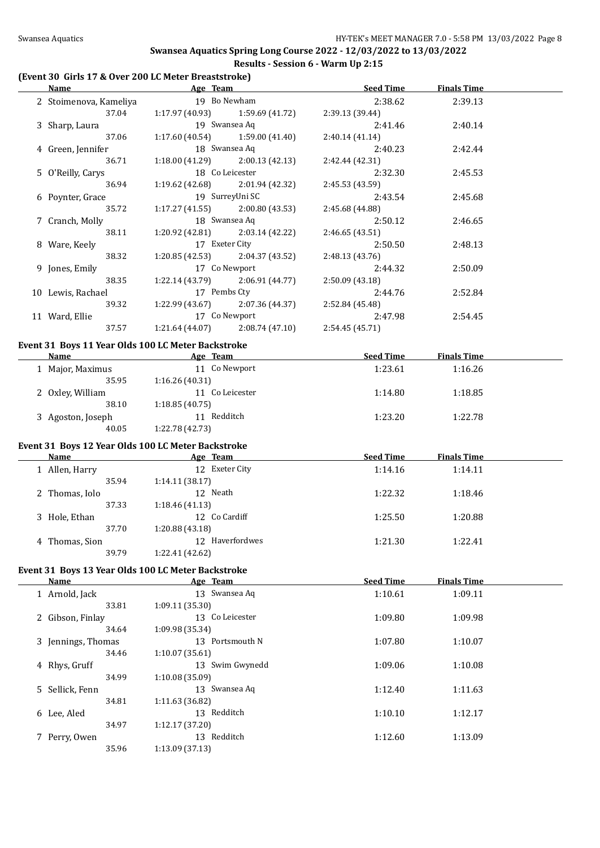### **(Event 30 Girls 17 & Over 200 LC Meter Breaststroke)**

| (EVENT 30 GILLS 17 & OVER 200 LC METER BREASISTIOKE)<br><b>Name</b> |                                                                              | Age Team                                           | Seed Time                          | <b>Finals Time</b> |
|---------------------------------------------------------------------|------------------------------------------------------------------------------|----------------------------------------------------|------------------------------------|--------------------|
| 19 Bo Newham<br>2 Stoimenova, Kameliya                              |                                                                              | 2:38.62                                            | 2:39.13                            |                    |
|                                                                     | 37.04                                                                        | 1:17.97 (40.93)<br>1:59.69 (41.72)                 | 2:39.13 (39.44)                    |                    |
|                                                                     | 3 Sharp, Laura                                                               | 19 Swansea Aq                                      | 2:41.46                            | 2:40.14            |
|                                                                     | 37.06                                                                        | 1:17.60(40.54)<br>1:59.00(41.40)                   | 2:40.14 (41.14)                    |                    |
|                                                                     | 4 Green, Jennifer                                                            | 18 Swansea Aq                                      | 2:40.23                            | 2:42.44            |
|                                                                     | 36.71                                                                        | 1:18.00(41.29)<br>2:00.13(42.13)                   | 2:42.44 (42.31)                    |                    |
|                                                                     | 5 O'Reilly, Carys                                                            | 18 Co Leicester                                    | 2:32.30                            | 2:45.53            |
|                                                                     | 36.94                                                                        | 1:19.62(42.68)<br>2:01.94 (42.32)                  | 2:45.53 (43.59)                    |                    |
|                                                                     | 6 Poynter, Grace                                                             | 19 SurreyUni SC                                    | 2:43.54                            | 2:45.68            |
|                                                                     | 35.72                                                                        | 1:17.27(41.55)<br>2:00.80 (43.53)                  | 2:45.68 (44.88)                    |                    |
|                                                                     | 7 Cranch, Molly                                                              | 18 Swansea Aq                                      | 2:50.12                            | 2:46.65            |
|                                                                     | 38.11                                                                        | 1:20.92(42.81)<br>2:03.14 (42.22)                  | 2:46.65 (43.51)                    |                    |
|                                                                     | 8 Ware, Keely                                                                | 17 Exeter City                                     | 2:50.50                            | 2:48.13            |
|                                                                     | 38.32                                                                        | 1:20.85(42.53)<br>2:04.37 (43.52)                  | 2:48.13 (43.76)                    |                    |
|                                                                     | 9 Jones, Emily                                                               | 17 Co Newport                                      | 2:44.32                            | 2:50.09            |
|                                                                     | 38.35                                                                        | 1:22.14 (43.79)<br>2:06.91 (44.77)                 | 2:50.09 (43.18)                    |                    |
|                                                                     | 10 Lewis, Rachael                                                            | 17 Pembs Cty                                       | 2:44.76                            | 2:52.84            |
|                                                                     | 39.32<br>1:22.99 (43.67)                                                     |                                                    | 2:07.36 (44.37)<br>2:52.84 (45.48) |                    |
|                                                                     | 17 Co Newport<br>11 Ward, Ellie<br>37.57<br>1:21.64(44.07)<br>2:08.74(47.10) |                                                    | 2:47.98                            | 2:54.45            |
|                                                                     |                                                                              |                                                    | 2:54.45(45.71)                     |                    |
|                                                                     |                                                                              | Event 31 Boys 11 Year Olds 100 LC Meter Backstroke |                                    |                    |
|                                                                     | Name                                                                         | Age Team                                           | <b>Seed Time</b>                   | <b>Finals Time</b> |
|                                                                     | 1 Major, Maximus                                                             | 11 Co Newport                                      | 1:23.61                            | 1:16.26            |
|                                                                     | 35.95                                                                        | 1:16.26 (40.31)                                    |                                    |                    |
|                                                                     | 2 Oxley, William                                                             | 11 Co Leicester                                    | 1:14.80                            | 1:18.85            |
|                                                                     | 38.10                                                                        | 1:18.85(40.75)                                     |                                    |                    |
|                                                                     | 3 Agoston, Joseph                                                            | 11 Redditch                                        | 1:23.20                            | 1:22.78            |
|                                                                     | 40.05                                                                        | 1:22.78 (42.73)                                    |                                    |                    |
|                                                                     |                                                                              |                                                    |                                    |                    |
|                                                                     |                                                                              | Event 31 Boys 12 Year Olds 100 LC Meter Backstroke |                                    |                    |
|                                                                     | Name                                                                         | Age Team                                           | <b>Seed Time</b>                   | <b>Finals Time</b> |
|                                                                     | 1 Allen, Harry                                                               | 12 Exeter City                                     | 1:14.16                            | 1:14.11            |
|                                                                     | 35.94                                                                        | 1:14.11(38.17)                                     |                                    |                    |
|                                                                     | 2 Thomas, Iolo                                                               | 12 Neath                                           | 1:22.32                            | 1:18.46            |
|                                                                     | 37.33                                                                        | 1:18.46(41.13)                                     |                                    |                    |
|                                                                     | 3 Hole, Ethan                                                                | 12 Co Cardiff                                      | 1:25.50                            | 1:20.88            |
|                                                                     | 37.70                                                                        | 1:20.88(43.18)                                     |                                    |                    |
|                                                                     | 4 Thomas, Sion                                                               | 12 Haverfordwes                                    | 1:21.30                            | 1:22.41            |
|                                                                     | 39.79                                                                        | 1:22.41 (42.62)                                    |                                    |                    |
|                                                                     |                                                                              | Event 31 Boys 13 Year Olds 100 LC Meter Backstroke |                                    |                    |
|                                                                     | <u>Name</u>                                                                  | Age Team                                           | <b>Seed Time</b>                   | <b>Finals Time</b> |

| машс               | <u>лес ісаш</u>    |         | гицаю гипс       |  |
|--------------------|--------------------|---------|------------------|--|
| 1 Arnold, Jack     | 13 Swansea Aq      | 1:10.61 | 1:09.11          |  |
| 33.81              | 1:09.11(35.30)     |         |                  |  |
| 2 Gibson, Finlay   | 13 Co Leicester    | 1:09.80 | 1:09.98          |  |
| 34.64              | 1:09.98 (35.34)    |         |                  |  |
| 3 Jennings, Thomas | 13 Portsmouth N    | 1:07.80 | 1:10.07          |  |
| 34.46              | 1:10.07(35.61)     |         |                  |  |
| 4 Rhys, Gruff      | Swim Gwynedd<br>13 | 1:09.06 | 1:10.08          |  |
| 34.99              | 1:10.08 (35.09)    |         |                  |  |
| 5 Sellick, Fenn    | 13 Swansea Aq      | 1:12.40 | 1:11.63          |  |
| 34.81              | 1:11.63 (36.82)    |         |                  |  |
| 6 Lee, Aled        | 13 Redditch        | 1:10.10 | 1:12.17          |  |
| 34.97              | 1:12.17 (37.20)    |         |                  |  |
| 7 Perry, Owen      | 13 Redditch        | 1:12.60 | 1:13.09          |  |
| 35.96              | 1:13.09 (37.13)    |         |                  |  |
|                    |                    |         | <b>DECA THUE</b> |  |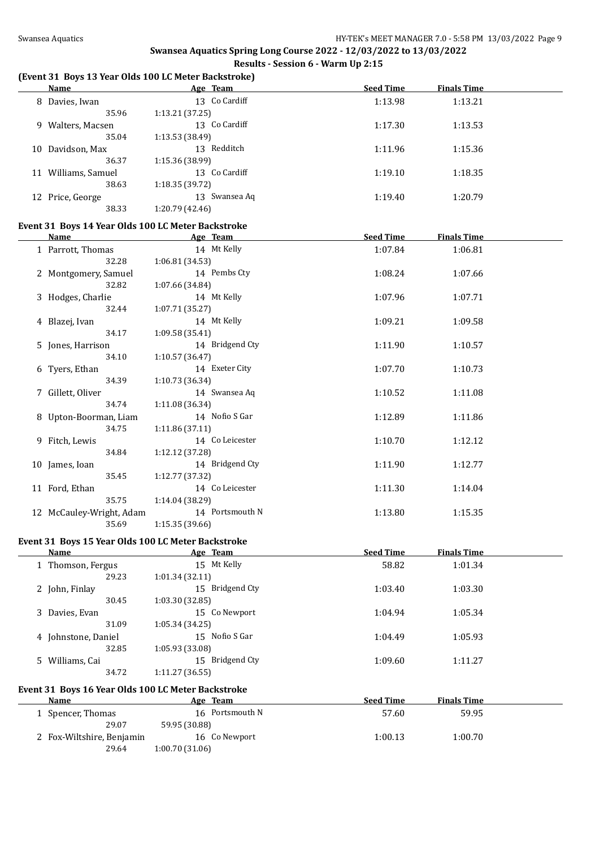# **Results - Session 6 - Warm Up 2:15**

# **(Event 31 Boys 13 Year Olds 100 LC Meter Backstroke)**

|                   | Name                                               | Age Team        | <b>Seed Time</b> | <b>Finals Time</b> |  |
|-------------------|----------------------------------------------------|-----------------|------------------|--------------------|--|
|                   | 8 Davies, Iwan                                     | 13 Co Cardiff   | 1:13.98          | 1:13.21            |  |
|                   | 35.96                                              | 1:13.21 (37.25) |                  |                    |  |
| 9 Walters, Macsen |                                                    | 13 Co Cardiff   | 1:17.30          | 1:13.53            |  |
|                   | 35.04                                              | 1:13.53 (38.49) |                  |                    |  |
|                   | 10 Davidson, Max                                   | 13 Redditch     | 1:11.96          | 1:15.36            |  |
|                   | 36.37                                              | 1:15.36 (38.99) |                  |                    |  |
|                   | 11 Williams, Samuel                                | 13 Co Cardiff   | 1:19.10          | 1:18.35            |  |
|                   | 38.63                                              | 1:18.35 (39.72) |                  |                    |  |
|                   | 12 Price, George                                   | 13 Swansea Aq   | 1:19.40          | 1:20.79            |  |
|                   | 38.33                                              | 1:20.79 (42.46) |                  |                    |  |
|                   | Event 31 Boys 14 Year Olds 100 LC Meter Backstroke |                 |                  |                    |  |
|                   | Name                                               | Age Team        | <b>Seed Time</b> | <b>Finals Time</b> |  |
|                   | 1 Parrott, Thomas                                  | 14 Mt Kelly     | 1:07.84          | 1:06.81            |  |
|                   | 32.28                                              | 1:06.81 (34.53) |                  |                    |  |
|                   | 2 Montgomery, Samuel                               | 14 Pembs Cty    | 1:08.24          | 1:07.66            |  |
|                   | 32.82                                              | 1:07.66 (34.84) |                  |                    |  |
|                   | 3 Hodges, Charlie                                  | 14 Mt Kelly     | 1:07.96          | 1:07.71            |  |
|                   | 32.44                                              | 1:07.71 (35.27) |                  |                    |  |
|                   | 4 Blazej, Ivan                                     | 14 Mt Kelly     | 1:09.21          | 1:09.58            |  |
|                   | 34.17                                              | 1:09.58 (35.41) |                  |                    |  |
|                   | 5 Jones, Harrison                                  | 14 Bridgend Cty | 1:11.90          | 1:10.57            |  |
|                   | 34.10                                              | 1:10.57(36.47)  |                  |                    |  |
|                   | 6 Tyers, Ethan                                     | 14 Exeter City  | 1:07.70          | 1:10.73            |  |
|                   | 34.39                                              | 1:10.73 (36.34) |                  |                    |  |
|                   | 7 Gillett, Oliver                                  | 14 Swansea Aq   | 1:10.52          | 1:11.08            |  |
|                   | 34.74                                              | 1:11.08 (36.34) |                  |                    |  |
|                   | 8 Upton-Boorman, Liam                              | 14 Nofio S Gar  | 1:12.89          | 1:11.86            |  |
|                   | 34.75                                              | 1:11.86 (37.11) |                  |                    |  |
|                   | 9 Fitch, Lewis                                     | 14 Co Leicester | 1:10.70          | 1:12.12            |  |
|                   | 34.84                                              | 1:12.12 (37.28) |                  |                    |  |
|                   | 10 James, Ioan                                     | 14 Bridgend Cty | 1:11.90          | 1:12.77            |  |
|                   | 35.45                                              | 1:12.77 (37.32) |                  |                    |  |
|                   | 11 Ford, Ethan                                     | 14 Co Leicester | 1:11.30          | 1:14.04            |  |
|                   | 35.75                                              | 1:14.04 (38.29) |                  |                    |  |
|                   | 12 McCauley-Wright, Adam                           | 14 Portsmouth N | 1:13.80          | 1:15.35            |  |
|                   | 35.69                                              | 1:15.35 (39.66) |                  |                    |  |

#### **Event 31 Boys 15 Year Olds 100 LC Meter Backstroke**

 $\overline{a}$ 

| Name                   | Age Team        | <b>Seed Time</b> | <b>Finals Time</b> |  |
|------------------------|-----------------|------------------|--------------------|--|
| Thomson, Fergus        | 15 Mt Kelly     | 58.82            | 1:01.34            |  |
| 29.23                  | 1:01.34(32.11)  |                  |                    |  |
| 2 John, Finlay         | 15 Bridgend Cty | 1:03.40          | 1:03.30            |  |
| 30.45                  | 1:03.30(32.85)  |                  |                    |  |
| Davies, Evan<br>3      | 15 Co Newport   | 1:04.94          | 1:05.34            |  |
| 31.09                  | 1:05.34(34.25)  |                  |                    |  |
| Johnstone, Daniel<br>4 | 15 Nofio S Gar  | 1:04.49          | 1:05.93            |  |
| 32.85                  | 1:05.93(33.08)  |                  |                    |  |
| Williams, Cai          | 15 Bridgend Cty | 1:09.60          | 1:11.27            |  |
| 34.72                  | 1:11.27(36.55)  |                  |                    |  |

#### **Event 31 Boys 16 Year Olds 100 LC Meter Backstroke**

| Name                      | Age Team        | <b>Seed Time</b> | <b>Finals Time</b> |  |
|---------------------------|-----------------|------------------|--------------------|--|
| 1 Spencer, Thomas         | 16 Portsmouth N | 57.60            | 59.95              |  |
| 29.07                     | 59.95 (30.88)   |                  |                    |  |
| 2 Fox-Wiltshire, Benjamin | 16 Co Newport   | 1:00.13          | 1:00.70            |  |
| 29.64                     | 1:00.70 (31.06) |                  |                    |  |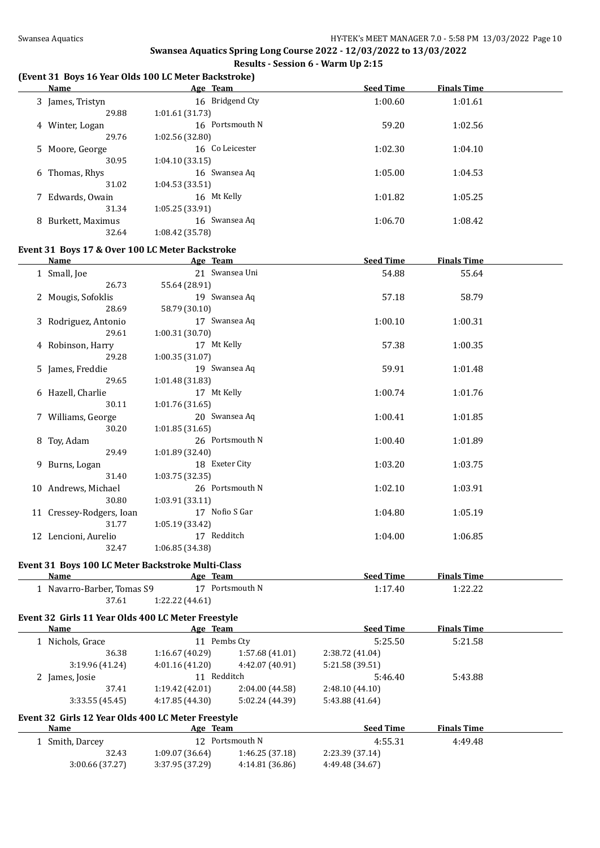# **Results - Session 6 - Warm Up 2:15**

# **(Event 31 Boys 16 Year Olds 100 LC Meter Backstroke)**

| Name                                               |                 | Age Team        | <b>Seed Time</b> | <b>Finals Time</b> |  |
|----------------------------------------------------|-----------------|-----------------|------------------|--------------------|--|
| 3 James, Tristyn                                   |                 | 16 Bridgend Cty | 1:00.60          | 1:01.61            |  |
| 29.88                                              | 1:01.61(31.73)  |                 |                  |                    |  |
| 4 Winter, Logan                                    |                 | 16 Portsmouth N | 59.20            | 1:02.56            |  |
| 29.76                                              | 1:02.56 (32.80) |                 |                  |                    |  |
| 5 Moore, George<br>30.95                           | 1:04.10(33.15)  | 16 Co Leicester | 1:02.30          | 1:04.10            |  |
|                                                    |                 |                 |                  |                    |  |
| 6 Thomas, Rhys<br>31.02                            | 1:04.53 (33.51) | 16 Swansea Aq   | 1:05.00          | 1:04.53            |  |
|                                                    |                 |                 |                  |                    |  |
| 7 Edwards, Owain                                   |                 | 16 Mt Kelly     | 1:01.82          | 1:05.25            |  |
| 31.34<br>8 Burkett, Maximus                        | 1:05.25 (33.91) | 16 Swansea Aq   |                  |                    |  |
| 32.64                                              | 1:08.42 (35.78) |                 | 1:06.70          | 1:08.42            |  |
|                                                    |                 |                 |                  |                    |  |
| Event 31 Boys 17 & Over 100 LC Meter Backstroke    |                 |                 |                  |                    |  |
| <b>Name</b>                                        |                 | Age Team        | <b>Seed Time</b> | <b>Finals Time</b> |  |
| 1 Small, Joe                                       |                 | 21 Swansea Uni  | 54.88            | 55.64              |  |
| 26.73                                              | 55.64 (28.91)   |                 |                  |                    |  |
| 2 Mougis, Sofoklis                                 |                 | 19 Swansea Aq   | 57.18            | 58.79              |  |
| 28.69                                              | 58.79 (30.10)   |                 |                  |                    |  |
| 3 Rodriguez, Antonio<br>29.61                      |                 | 17 Swansea Aq   | 1:00.10          | 1:00.31            |  |
|                                                    | 1:00.31 (30.70) | 17 Mt Kelly     |                  |                    |  |
| 4 Robinson, Harry<br>29.28                         | 1:00.35(31.07)  |                 | 57.38            | 1:00.35            |  |
| 5 James, Freddie                                   |                 | 19 Swansea Aq   | 59.91            | 1:01.48            |  |
| 29.65                                              | 1:01.48 (31.83) |                 |                  |                    |  |
| 6 Hazell, Charlie                                  |                 | 17 Mt Kelly     | 1:00.74          | 1:01.76            |  |
| 30.11                                              | 1:01.76 (31.65) |                 |                  |                    |  |
| 7 Williams, George                                 |                 | 20 Swansea Aq   | 1:00.41          | 1:01.85            |  |
| 30.20                                              | 1:01.85(31.65)  |                 |                  |                    |  |
| 8 Toy, Adam                                        |                 | 26 Portsmouth N | 1:00.40          | 1:01.89            |  |
| 29.49                                              | 1:01.89 (32.40) |                 |                  |                    |  |
| 9 Burns, Logan                                     |                 | 18 Exeter City  | 1:03.20          | 1:03.75            |  |
| 31.40                                              | 1:03.75 (32.35) |                 |                  |                    |  |
| 10 Andrews, Michael                                |                 | 26 Portsmouth N | 1:02.10          | 1:03.91            |  |
| 30.80                                              | 1:03.91(33.11)  |                 |                  |                    |  |
| 11 Cressey-Rodgers, Ioan                           |                 | 17 Nofio S Gar  | 1:04.80          | 1:05.19            |  |
| 31.77                                              | 1:05.19 (33.42) |                 |                  |                    |  |
| 12 Lencioni, Aurelio                               | 17 Redditch     |                 | 1:04.00          | 1:06.85            |  |
| 32.47                                              | 1:06.85 (34.38) |                 |                  |                    |  |
| Event 31 Boys 100 LC Meter Backstroke Multi-Class  |                 |                 |                  |                    |  |
| Name                                               |                 | Age Team        | <b>Seed Time</b> | <b>Finals Time</b> |  |
| 1 Navarro-Barber, Tomas S9                         |                 | 17 Portsmouth N | 1:17.40          | 1:22.22            |  |
| 37.61                                              | 1:22.22 (44.61) |                 |                  |                    |  |
| Event 32 Girls 11 Year Olds 400 LC Meter Freestyle |                 |                 |                  |                    |  |
| Name                                               |                 | Age Team        | <b>Seed Time</b> | <b>Finals Time</b> |  |
| 1 Nichols, Grace                                   |                 | 11 Pembs Cty    | 5:25.50          | 5:21.58            |  |
| 36.38                                              | 1:16.67(40.29)  | 1:57.68 (41.01) | 2:38.72 (41.04)  |                    |  |
| 3:19.96 (41.24)                                    | 4:01.16(41.20)  | 4:42.07 (40.91) | 5:21.58 (39.51)  |                    |  |
| 2 James, Josie                                     |                 | 11 Redditch     | 5:46.40          | 5:43.88            |  |
| 37.41                                              | 1:19.42 (42.01) | 2:04.00 (44.58) | 2:48.10 (44.10)  |                    |  |
| 3:33.55(45.45)                                     | 4:17.85 (44.30) | 5:02.24 (44.39) | 5:43.88 (41.64)  |                    |  |
| Event 32 Girls 12 Year Olds 400 LC Meter Freestyle |                 |                 |                  |                    |  |
| Name                                               |                 | Age Team        | <b>Seed Time</b> | <b>Finals Time</b> |  |
| 1 Smith, Darcey                                    |                 | 12 Portsmouth N | 4:55.31          | 4:49.48            |  |
| 32.43                                              | 1:09.07 (36.64) | 1:46.25 (37.18) | 2:23.39 (37.14)  |                    |  |
| 3:00.66 (37.27)                                    | 3:37.95 (37.29) | 4:14.81 (36.86) | 4:49.48 (34.67)  |                    |  |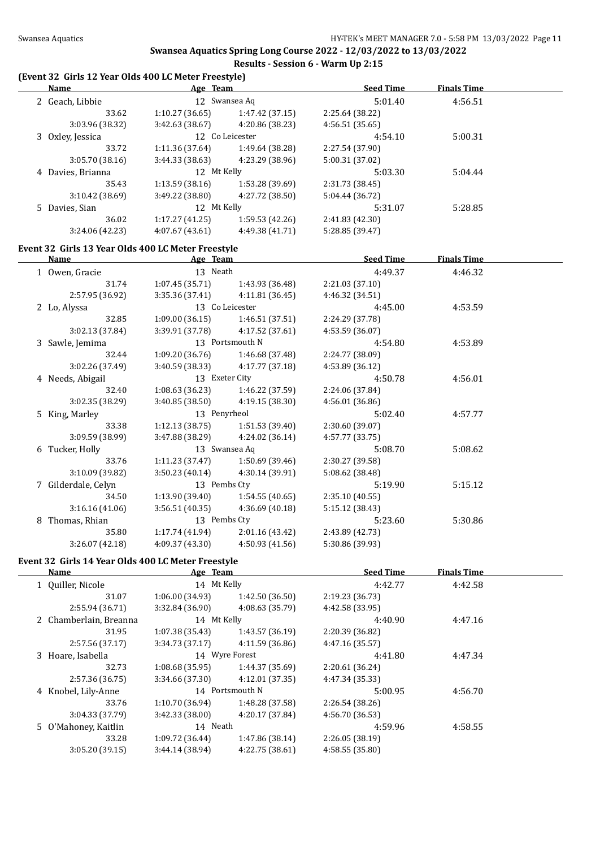$\overline{\phantom{a}}$ 

### **Swansea Aquatics Spring Long Course 2022 - 12/03/2022 to 13/03/2022**

### **Results - Session 6 - Warm Up 2:15**

# **(Event 32 Girls 12 Year Olds 400 LC Meter Freestyle)**

| Name              | Age Team        |                 | <b>Seed Time</b> | <b>Finals Time</b> |  |
|-------------------|-----------------|-----------------|------------------|--------------------|--|
| 2 Geach, Libbie   |                 | 12 Swansea Ag   | 5:01.40          | 4:56.51            |  |
| 33.62             | 1:10.27(36.65)  | 1:47.42(37.15)  | 2:25.64 (38.22)  |                    |  |
| 3:03.96 (38.32)   | 3:42.63(38.67)  | 4:20.86 (38.23) | 4:56.51 (35.65)  |                    |  |
| 3 Oxley, Jessica  |                 | 12 Co Leicester | 4:54.10          | 5:00.31            |  |
| 33.72             | 1:11.36(37.64)  | 1:49.64 (38.28) | 2:27.54 (37.90)  |                    |  |
| 3:05.70(38.16)    | 3:44.33 (38.63) | 4:23.29 (38.96) | 5:00.31 (37.02)  |                    |  |
| 4 Davies, Brianna | 12 Mt Kelly     |                 | 5:03.30          | 5:04.44            |  |
| 35.43             | 1:13.59(38.16)  | 1:53.28 (39.69) | 2:31.73 (38.45)  |                    |  |
| 3:10.42(38.69)    | 3:49.22 (38.80) | 4:27.72 (38.50) | 5:04.44 (36.72)  |                    |  |
| 5 Davies, Sian    | 12 Mt Kelly     |                 | 5:31.07          | 5:28.85            |  |
| 36.02             | 1:17.27(41.25)  | 1:59.53(42.26)  | 2:41.83 (42.30)  |                    |  |
| 3:24.06 (42.23)   | 4:07.67(43.61)  | 4:49.38 (41.71) | 5:28.85 (39.47)  |                    |  |
|                   |                 |                 |                  |                    |  |

#### **Event 32 Girls 13 Year Olds 400 LC Meter Freestyle**

|   | Age Team<br>Name    |                 | <b>Seed Time</b> | <b>Finals Time</b> |         |  |
|---|---------------------|-----------------|------------------|--------------------|---------|--|
|   | 1 Owen, Gracie      | 13 Neath        |                  | 4:49.37            | 4:46.32 |  |
|   | 31.74               | 1:07.45(35.71)  | 1:43.93 (36.48)  | 2:21.03 (37.10)    |         |  |
|   | 2:57.95 (36.92)     | 3:35.36 (37.41) | 4:11.81 (36.45)  | 4:46.32 (34.51)    |         |  |
|   | 2 Lo, Alyssa        |                 | 13 Co Leicester  | 4:45.00            | 4:53.59 |  |
|   | 32.85               | 1:09.00(36.15)  | 1:46.51(37.51)   | 2:24.29 (37.78)    |         |  |
|   | 3:02.13 (37.84)     | 3:39.91 (37.78) | 4:17.52 (37.61)  | 4:53.59 (36.07)    |         |  |
|   | 3 Sawle, Jemima     |                 | 13 Portsmouth N  | 4:54.80            | 4:53.89 |  |
|   | 32.44               | 1:09.20 (36.76) | 1:46.68 (37.48)  | 2:24.77 (38.09)    |         |  |
|   | 3:02.26 (37.49)     | 3:40.59(38.33)  | 4:17.77 (37.18)  | 4:53.89 (36.12)    |         |  |
|   | 4 Needs, Abigail    | 13 Exeter City  |                  | 4:50.78            | 4:56.01 |  |
|   | 32.40               | 1:08.63(36.23)  | 1:46.22 (37.59)  | 2:24.06 (37.84)    |         |  |
|   | 3:02.35 (38.29)     | 3:40.85(38.50)  | 4:19.15 (38.30)  | 4:56.01 (36.86)    |         |  |
|   | 5 King, Marley      | 13 Penyrheol    |                  | 5:02.40            | 4:57.77 |  |
|   | 33.38               | 1:12.13(38.75)  | 1:51.53(39.40)   | 2:30.60 (39.07)    |         |  |
|   | 3:09.59 (38.99)     | 3:47.88 (38.29) | 4:24.02 (36.14)  | 4:57.77 (33.75)    |         |  |
|   | 6 Tucker, Holly     |                 | 13 Swansea Aq    | 5:08.70            | 5:08.62 |  |
|   | 33.76               | 1:11.23(37.47)  | 1:50.69(39.46)   | 2:30.27 (39.58)    |         |  |
|   | 3:10.09 (39.82)     | 3:50.23(40.14)  | 4:30.14 (39.91)  | 5:08.62 (38.48)    |         |  |
|   | 7 Gilderdale, Celyn | 13 Pembs Cty    |                  | 5:19.90            | 5:15.12 |  |
|   | 34.50               | 1:13.90(39.40)  | 1:54.55(40.65)   | 2:35.10 (40.55)    |         |  |
|   | 3:16.16(41.06)      | 3:56.51 (40.35) | 4:36.69 (40.18)  | 5:15.12 (38.43)    |         |  |
| 8 | Thomas, Rhian       | 13 Pembs Cty    |                  | 5:23.60            | 5:30.86 |  |
|   | 35.80               | 1:17.74(41.94)  | 2:01.16 (43.42)  | 2:43.89 (42.73)    |         |  |
|   | 3:26.07 (42.18)     | 4:09.37 (43.30) | 4:50.93 (41.56)  | 5:30.86 (39.93)    |         |  |

#### **Event 32 Girls 14 Year Olds 400 LC Meter Freestyle**

| Name |                        | Age Team        |                 | <b>Seed Time</b> | <b>Finals Time</b> |  |
|------|------------------------|-----------------|-----------------|------------------|--------------------|--|
|      | 1 Quiller, Nicole      | 14 Mt Kelly     |                 | 4:42.77          | 4:42.58            |  |
|      | 31.07                  | 1:06.00(34.93)  | 1:42.50 (36.50) | 2:19.23 (36.73)  |                    |  |
|      | 2:55.94(36.71)         | 3:32.84 (36.90) | 4:08.63 (35.79) | 4:42.58 (33.95)  |                    |  |
|      | 2 Chamberlain, Breanna | 14 Mt Kelly     |                 | 4:40.90          | 4:47.16            |  |
|      | 31.95                  | 1:07.38(35.43)  | 1:43.57(36.19)  | 2:20.39 (36.82)  |                    |  |
|      | 2:57.56 (37.17)        | 3:34.73(37.17)  | 4:11.59 (36.86) | 4:47.16 (35.57)  |                    |  |
|      | 3 Hoare, Isabella      |                 | 14 Wyre Forest  | 4:41.80          | 4:47.34            |  |
|      | 32.73                  | 1:08.68(35.95)  | 1:44.37 (35.69) | 2:20.61 (36.24)  |                    |  |
|      | 2:57.36 (36.75)        | 3:34.66 (37.30) | 4:12.01 (37.35) | 4:47.34 (35.33)  |                    |  |
|      | 4 Knobel, Lily-Anne    |                 | 14 Portsmouth N | 5:00.95          | 4:56.70            |  |
|      | 33.76                  | 1:10.70(36.94)  | 1:48.28 (37.58) | 2:26.54(38.26)   |                    |  |
|      | 3:04.33 (37.79)        | 3:42.33(38.00)  | 4:20.17 (37.84) | 4:56.70 (36.53)  |                    |  |
|      | 5 O'Mahoney, Kaitlin   | 14 Neath        |                 | 4:59.96          | 4:58.55            |  |
|      | 33.28                  | 1:09.72(36.44)  | 1:47.86 (38.14) | 2:26.05 (38.19)  |                    |  |
|      | 3:05.20 (39.15)        | 3:44.14(38.94)  | 4:22.75(38.61)  | 4:58.55 (35.80)  |                    |  |
|      |                        |                 |                 |                  |                    |  |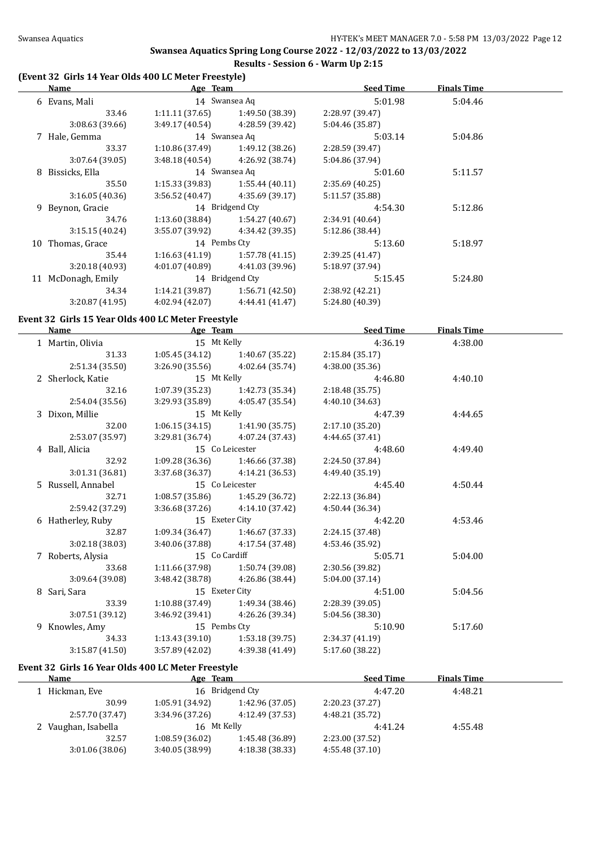## **Results - Session 6 - Warm Up 2:15**

# **(Event 32 Girls 14 Year Olds 400 LC Meter Freestyle)**

| Name                                               | Age Team        |                                   | <b>Seed Time</b> | <b>Finals Time</b> |  |
|----------------------------------------------------|-----------------|-----------------------------------|------------------|--------------------|--|
| 6 Evans, Mali                                      |                 | 14 Swansea Aq                     | 5:01.98          | 5:04.46            |  |
| 33.46                                              | 1:11.11 (37.65) | 1:49.50 (38.39)                   | 2:28.97 (39.47)  |                    |  |
| 3:08.63 (39.66)                                    | 3:49.17 (40.54) | 4:28.59 (39.42)                   | 5:04.46 (35.87)  |                    |  |
| 7 Hale, Gemma                                      |                 | 14 Swansea Aq                     | 5:03.14          | 5:04.86            |  |
| 33.37                                              | 1:10.86(37.49)  | 1:49.12 (38.26)                   | 2:28.59 (39.47)  |                    |  |
| 3:07.64 (39.05)                                    |                 | $3:48.18(40.54)$ $4:26.92(38.74)$ | 5:04.86 (37.94)  |                    |  |
| 8 Bissicks, Ella                                   |                 | 14 Swansea Aq                     | 5:01.60          | 5:11.57            |  |
| 35.50                                              | 1:15.33 (39.83) | 1:55.44(40.11)                    | 2:35.69 (40.25)  |                    |  |
| 3:16.05(40.36)                                     | 3:56.52(40.47)  | 4:35.69 (39.17)                   | 5:11.57 (35.88)  |                    |  |
| 9 Beynon, Gracie                                   |                 | 14 Bridgend Cty                   | 4:54.30          | 5:12.86            |  |
| 34.76                                              | 1:13.60 (38.84) | 1:54.27 (40.67)                   | 2:34.91 (40.64)  |                    |  |
| 3:15.15(40.24)                                     | 3:55.07 (39.92) | 4:34.42 (39.35)                   | 5:12.86 (38.44)  |                    |  |
| 10 Thomas, Grace                                   | 14 Pembs Ctv    |                                   | 5:13.60          | 5:18.97            |  |
| 35.44                                              | 1:16.63(41.19)  | 1:57.78 (41.15)                   | 2:39.25 (41.47)  |                    |  |
| 3:20.18(40.93)                                     |                 | 4:01.07 (40.89) 4:41.03 (39.96)   | 5:18.97 (37.94)  |                    |  |
| 11 McDonagh, Emily                                 |                 | 14 Bridgend Cty                   | 5:15.45          | 5:24.80            |  |
| 34.34                                              | 1:14.21 (39.87) | 1:56.71 (42.50)                   | 2:38.92 (42.21)  |                    |  |
| 3:20.87(41.95)                                     | 4:02.94 (42.07) | 4:44.41 (41.47)                   | 5:24.80 (40.39)  |                    |  |
| Event 32 Girls 15 Year Olds 400 LC Meter Freestyle |                 |                                   |                  |                    |  |
| Name                                               | Age Team        |                                   | <b>Seed Time</b> | <b>Finals Time</b> |  |
| 1 Martin, Olivia                                   | 15 Mt Kelly     |                                   | 4:36.19          | 4:38.00            |  |
| 31.33                                              | 1:05.45(34.12)  | 1:40.67 (35.22)                   | 2:15.84(35.17)   |                    |  |
| 2:51.34 (35.50)                                    | 3:26.90 (35.56) | 4:02.64 (35.74)                   | 4:38.00 (35.36)  |                    |  |
| 2 Sherlock, Katie                                  | 15 Mt Kelly     |                                   | 4:46.80          | 4:40.10            |  |
| 32.16                                              | 1:07.39 (35.23) | 1:42.73 (35.34)                   | 2:18.48 (35.75)  |                    |  |
| 2:54.04(35.56)                                     | 3:29.93 (35.89) | 4:05.47 (35.54)                   | 4:40.10(34.63)   |                    |  |
| 3 Dixon, Millie                                    | 15 Mt Kelly     |                                   | 4:47.39          | 4:44.65            |  |
| 32.00                                              | 1:06.15(34.15)  | 1:41.90 (35.75)                   | 2:17.10 (35.20)  |                    |  |
| 2:53.07 (35.97)                                    | 3:29.81(36.74)  | 4:07.24 (37.43)                   | 4:44.65 (37.41)  |                    |  |
|                                                    |                 |                                   |                  |                    |  |

|    | Name               | Age Team        |                 | <b>Seed Time</b> | <b>Finals</b> Time |  |
|----|--------------------|-----------------|-----------------|------------------|--------------------|--|
|    | 1 Martin, Olivia   | 15 Mt Kelly     |                 | 4:36.19          | 4:38.00            |  |
|    | 31.33              | 1:05.45 (34.12) | 1:40.67 (35.22) | 2:15.84 (35.17)  |                    |  |
|    | 2:51.34 (35.50)    | 3:26.90 (35.56) | 4:02.64 (35.74) | 4:38.00 (35.36)  |                    |  |
|    | 2 Sherlock, Katie  | 15 Mt Kelly     |                 | 4:46.80          | 4:40.10            |  |
|    | 32.16              | 1:07.39 (35.23) | 1:42.73 (35.34) | 2:18.48 (35.75)  |                    |  |
|    | 2:54.04 (35.56)    | 3:29.93 (35.89) | 4:05.47 (35.54) | 4:40.10 (34.63)  |                    |  |
|    | 3 Dixon, Millie    | 15 Mt Kelly     |                 | 4:47.39          | 4:44.65            |  |
|    | 32.00              | 1:06.15(34.15)  | 1:41.90 (35.75) | 2:17.10 (35.20)  |                    |  |
|    | 2:53.07 (35.97)    | 3:29.81 (36.74) | 4:07.24 (37.43) | 4:44.65 (37.41)  |                    |  |
|    | 4 Ball, Alicia     |                 | 15 Co Leicester | 4:48.60          | 4:49.40            |  |
|    | 32.92              | 1:09.28(36.36)  | 1:46.66 (37.38) | 2:24.50 (37.84)  |                    |  |
|    | 3:01.31 (36.81)    | 3:37.68 (36.37) | 4:14.21 (36.53) | 4:49.40 (35.19)  |                    |  |
|    | 5 Russell, Annabel |                 | 15 Co Leicester | 4:45.40          | 4:50.44            |  |
|    | 32.71              | 1:08.57(35.86)  | 1:45.29 (36.72) | 2:22.13 (36.84)  |                    |  |
|    | 2:59.42 (37.29)    | 3:36.68(37.26)  | 4:14.10 (37.42) | 4:50.44 (36.34)  |                    |  |
|    | 6 Hatherley, Ruby  | 15 Exeter City  |                 | 4:42.20          | 4:53.46            |  |
|    | 32.87              | 1:09.34 (36.47) | 1:46.67 (37.33) | 2:24.15 (37.48)  |                    |  |
|    | 3:02.18 (38.03)    | 3:40.06 (37.88) | 4:17.54 (37.48) | 4:53.46 (35.92)  |                    |  |
|    | 7 Roberts, Alysia  | 15 Co Cardiff   |                 | 5:05.71          | 5:04.00            |  |
|    | 33.68              | 1:11.66 (37.98) | 1:50.74 (39.08) | 2:30.56 (39.82)  |                    |  |
|    | 3:09.64 (39.08)    | 3:48.42 (38.78) | 4:26.86 (38.44) | 5:04.00 (37.14)  |                    |  |
| 8  | Sari, Sara         | 15 Exeter City  |                 | 4:51.00          | 5:04.56            |  |
|    | 33.39              | 1:10.88 (37.49) | 1:49.34 (38.46) | 2:28.39 (39.05)  |                    |  |
|    | 3:07.51 (39.12)    | 3:46.92 (39.41) | 4:26.26 (39.34) | 5:04.56 (38.30)  |                    |  |
| 9. | Knowles, Amy       | 15 Pembs Cty    |                 | 5:10.90          | 5:17.60            |  |
|    | 34.33              | 1:13.43(39.10)  | 1:53.18(39.75)  | 2:34.37 (41.19)  |                    |  |
|    | 3:15.87 (41.50)    | 3:57.89 (42.02) | 4:39.38 (41.49) | 5:17.60 (38.22)  |                    |  |
|    |                    |                 |                 |                  |                    |  |

#### **Event 32 Girls 16 Year Olds 400 LC Meter Freestyle**

| Age Team<br>Name |                 | <b>Seed Time</b> | <b>Finals Time</b> |  |
|------------------|-----------------|------------------|--------------------|--|
| 16 Bridgend Cty  |                 | 4:47.20          | 4:48.21            |  |
| 1:05.91 (34.92)  | 1:42.96 (37.05) | 2:20.23 (37.27)  |                    |  |
| 3:34.96 (37.26)  | 4:12.49 (37.53) | 4:48.21 (35.72)  |                    |  |
| 16 Mt Kelly      |                 | 4:41.24          | 4:55.48            |  |
| 1:08.59(36.02)   | 1:45.48 (36.89) | 2:23.00 (37.52)  |                    |  |
| 3:40.05(38.99)   | 4:18.38 (38.33) | 4:55.48 (37.10)  |                    |  |
|                  |                 |                  |                    |  |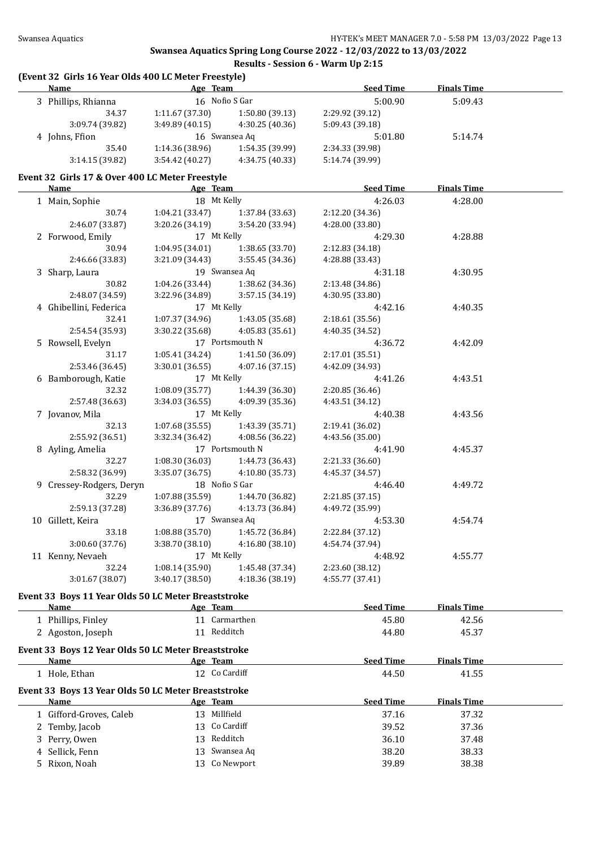# **Results - Session 6 - Warm Up 2:15**

# **(Event 32 Girls 16 Year Olds 400 LC Meter Freestyle)**

| Name                                                    | Age Team                                          |                 | <b>Seed Time</b> | <b>Finals Time</b> |  |
|---------------------------------------------------------|---------------------------------------------------|-----------------|------------------|--------------------|--|
| 16 Nofio S Gar<br>3 Phillips, Rhianna                   |                                                   | 5:00.90         | 5:09.43          |                    |  |
| 34.37                                                   | 1:11.67 (37.30)                                   | 1:50.80 (39.13) | 2:29.92 (39.12)  |                    |  |
| 3:09.74 (39.82)                                         | 3:49.89(40.15)                                    | 4:30.25 (40.36) | 5:09.43 (39.18)  |                    |  |
| 4 Johns, Ffion                                          | 16 Swansea Aq                                     |                 | 5:01.80          | 5:14.74            |  |
| 35.40                                                   | 1:14.36 (38.96)                                   | 1:54.35 (39.99) | 2:34.33 (39.98)  |                    |  |
| 3:14.15 (39.82)                                         | 3:54.42 (40.27)                                   | 4:34.75 (40.33) | 5:14.74 (39.99)  |                    |  |
|                                                         |                                                   |                 |                  |                    |  |
| Event 32 Girls 17 & Over 400 LC Meter Freestyle<br>Name | Age Team                                          |                 | <b>Seed Time</b> |                    |  |
|                                                         |                                                   |                 |                  | <b>Finals Time</b> |  |
| 1 Main, Sophie                                          | 18 Mt Kelly                                       |                 | 4:26.03          | 4:28.00            |  |
| 30.74                                                   | 1:04.21(33.47)                                    | 1:37.84 (33.63) | 2:12.20 (34.36)  |                    |  |
| 2:46.07 (33.87)                                         | 3:20.26 (34.19)<br>3:54.20 (33.94)<br>17 Mt Kelly |                 | 4:28.00 (33.80)  |                    |  |
| 2 Forwood, Emily                                        |                                                   |                 | 4:29.30          | 4:28.88            |  |
| 30.94                                                   | 1:04.95(34.01)                                    | 1:38.65 (33.70) | 2:12.83 (34.18)  |                    |  |
| 2:46.66 (33.83)                                         | 3:21.09 (34.43)                                   | 3:55.45(34.36)  | 4:28.88 (33.43)  |                    |  |
| 3 Sharp, Laura                                          | 19 Swansea Aq                                     |                 | 4:31.18          | 4:30.95            |  |
| 30.82                                                   | 1:04.26 (33.44)                                   | 1:38.62 (34.36) | 2:13.48 (34.86)  |                    |  |
| 2:48.07 (34.59)                                         | 3:22.96 (34.89)                                   | 3:57.15(34.19)  | 4:30.95 (33.80)  |                    |  |
| 4 Ghibellini, Federica                                  | 17 Mt Kelly                                       |                 | 4:42.16          | 4:40.35            |  |
| 32.41                                                   | 1:07.37 (34.96)                                   | 1:43.05 (35.68) | 2:18.61 (35.56)  |                    |  |
| 2:54.54 (35.93)                                         | 3:30.22 (35.68)                                   | 4:05.83 (35.61) | 4:40.35 (34.52)  |                    |  |
| 5 Rowsell, Evelyn                                       |                                                   | 17 Portsmouth N | 4:36.72          | 4:42.09            |  |
| 31.17                                                   | 1:05.41(34.24)                                    | 1:41.50 (36.09) | 2:17.01 (35.51)  |                    |  |
| 2:53.46 (36.45)                                         | 3:30.01 (36.55)                                   | 4:07.16(37.15)  | 4:42.09 (34.93)  |                    |  |
| 6 Bamborough, Katie                                     | 17 Mt Kelly                                       |                 | 4:41.26          | 4:43.51            |  |
| 32.32                                                   | 1:08.09 (35.77)                                   | 1:44.39 (36.30) | 2:20.85 (36.46)  |                    |  |
| 2:57.48 (36.63)                                         | 3:34.03(36.55)                                    | 4:09.39 (35.36) | 4:43.51 (34.12)  |                    |  |
| 7 Jovanov, Mila                                         | 17 Mt Kelly                                       |                 | 4:40.38          | 4:43.56            |  |
| 32.13                                                   | 1:07.68 (35.55)                                   | 1:43.39 (35.71) | 2:19.41 (36.02)  |                    |  |
| 2:55.92 (36.51)                                         | 3:32.34 (36.42)                                   | 4:08.56 (36.22) | 4:43.56 (35.00)  |                    |  |
| 8 Ayling, Amelia                                        | 17 Portsmouth N                                   |                 | 4:41.90          | 4:45.37            |  |
| 32.27                                                   | 1:08.30(36.03)                                    | 1:44.73 (36.43) | 2:21.33 (36.60)  |                    |  |
| 2:58.32 (36.99)                                         | 3:35.07(36.75)                                    | 4:10.80 (35.73) | 4:45.37 (34.57)  |                    |  |
| 9 Cressey-Rodgers, Deryn                                | 18 Nofio S Gar                                    |                 | 4:46.40          | 4:49.72            |  |
| 32.29                                                   | 1:07.88 (35.59)                                   | 1:44.70 (36.82) | 2:21.85(37.15)   |                    |  |
| 2:59.13 (37.28)                                         | 3:36.89 (37.76)                                   | 4:13.73 (36.84) | 4:49.72 (35.99)  |                    |  |
| 10 Gillett, Keira                                       |                                                   | 17 Swansea Aq   | 4:53.30          | 4:54.74            |  |
| 33.18                                                   | 1:08.88 (35.70)                                   | 1:45.72 (36.84) | 2:22.84 (37.12)  |                    |  |
| 3:00.60 (37.76)                                         | 3:38.70 (38.10)                                   | 4:16.80 (38.10) | 4:54.74 (37.94)  |                    |  |
| 11 Kenny, Nevaeh                                        | 17 Mt Kelly                                       |                 | 4:48.92          | 4:55.77            |  |
| 32.24                                                   | 1:08.14 (35.90)                                   | 1:45.48 (37.34) | 2:23.60 (38.12)  |                    |  |
| 3:01.67 (38.07)                                         | 3:40.17 (38.50)                                   | 4:18.36 (38.19) | 4:55.77 (37.41)  |                    |  |
| Event 33 Boys 11 Year Olds 50 LC Meter Breaststroke     |                                                   |                 |                  |                    |  |
| Name                                                    | Age Team                                          |                 | <b>Seed Time</b> | <b>Finals Time</b> |  |
| 1 Phillips, Finley                                      |                                                   | 11 Carmarthen   | 45.80            | 42.56              |  |
| 2 Agoston, Joseph                                       | 11 Redditch                                       |                 | 44.80            | 45.37              |  |
|                                                         |                                                   |                 |                  |                    |  |
| Event 33 Boys 12 Year Olds 50 LC Meter Breaststroke     |                                                   |                 |                  | <b>Finals Time</b> |  |
| Name                                                    | Age Team                                          |                 | <b>Seed Time</b> |                    |  |
| 1 Hole, Ethan                                           | 12 Co Cardiff                                     |                 | 44.50            | 41.55              |  |
| Event 33 Boys 13 Year Olds 50 LC Meter Breaststroke     |                                                   |                 |                  |                    |  |
| Name                                                    | Age Team                                          |                 | <b>Seed Time</b> | <b>Finals Time</b> |  |
| 1 Gifford-Groves, Caleb                                 | 13 Millfield                                      |                 | 37.16            | 37.32              |  |
| 2 Temby, Jacob                                          | 13 Co Cardiff                                     |                 | 39.52            | 37.36              |  |
| 3 Perry, Owen                                           | 13 Redditch                                       |                 | 36.10            | 37.48              |  |
| 4 Sellick, Fenn                                         | 13                                                | Swansea Aq      | 38.20            | 38.33              |  |
| 5 Rixon, Noah                                           |                                                   | 13 Co Newport   | 39.89            | 38.38              |  |
|                                                         |                                                   |                 |                  |                    |  |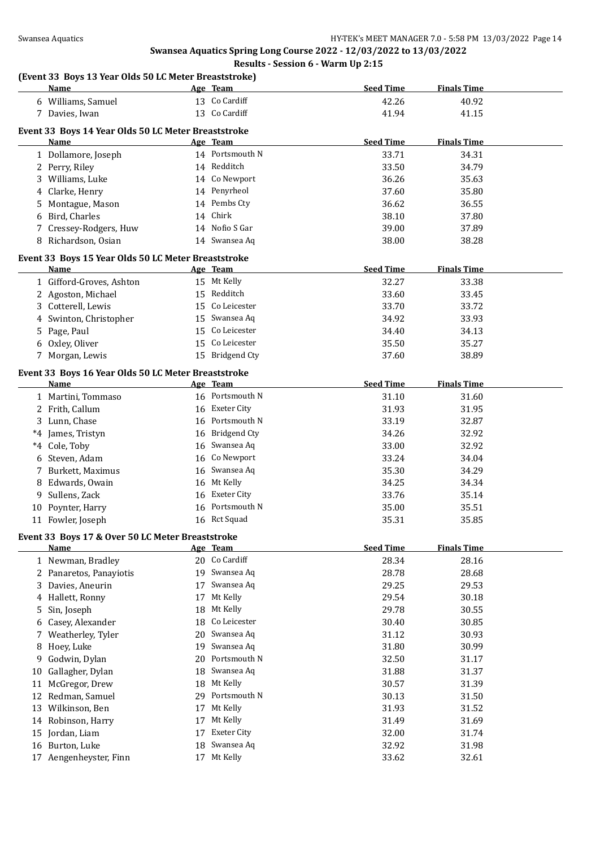# **Results - Session 6 - Warm Up 2:15**

|    | (Event 33 Boys 13 Year Olds 50 LC Meter Breaststroke)<br>Name      |    | Age Team        | <b>Seed Time</b> | <b>Finals Time</b> |
|----|--------------------------------------------------------------------|----|-----------------|------------------|--------------------|
|    | 6 Williams, Samuel                                                 |    | 13 Co Cardiff   | 42.26            | 40.92              |
|    | 7 Davies, Iwan                                                     |    | 13 Co Cardiff   | 41.94            | 41.15              |
|    | Event 33 Boys 14 Year Olds 50 LC Meter Breaststroke                |    |                 |                  |                    |
|    | Name                                                               |    | Age Team        | <b>Seed Time</b> | <b>Finals Time</b> |
|    | 1 Dollamore, Joseph                                                |    | 14 Portsmouth N | 33.71            | 34.31              |
|    | 2 Perry, Riley                                                     |    | 14 Redditch     | 33.50            | 34.79              |
|    | 3 Williams, Luke                                                   |    | 14 Co Newport   | 36.26            | 35.63              |
|    | 4 Clarke, Henry                                                    |    | 14 Penyrheol    | 37.60            | 35.80              |
| 5  | Montague, Mason                                                    |    | 14 Pembs Cty    | 36.62            | 36.55              |
| 6  | Bird, Charles                                                      |    | 14 Chirk        | 38.10            | 37.80              |
|    | 7 Cressey-Rodgers, Huw                                             |    | 14 Nofio S Gar  | 39.00            | 37.89              |
| 8  | Richardson, Osian                                                  |    | 14 Swansea Aq   | 38.00            | 38.28              |
|    |                                                                    |    |                 |                  |                    |
|    | Event 33 Boys 15 Year Olds 50 LC Meter Breaststroke<br><b>Name</b> |    | Age Team        | <b>Seed Time</b> | <b>Finals Time</b> |
|    | 1 Gifford-Groves, Ashton                                           |    | 15 Mt Kelly     | 32.27            | 33.38              |
|    | 2 Agoston, Michael                                                 |    | 15 Redditch     | 33.60            | 33.45              |
|    | 3 Cotterell, Lewis                                                 |    | 15 Co Leicester | 33.70            | 33.72              |
| 4  | Swinton, Christopher                                               |    | 15 Swansea Aq   | 34.92            | 33.93              |
| 5  | Page, Paul                                                         |    | 15 Co Leicester | 34.40            | 34.13              |
|    | 6 Oxley, Oliver                                                    |    | 15 Co Leicester | 35.50            | 35.27              |
|    | 7 Morgan, Lewis                                                    |    | 15 Bridgend Cty |                  |                    |
|    |                                                                    |    |                 | 37.60            | 38.89              |
|    | Event 33 Boys 16 Year Olds 50 LC Meter Breaststroke                |    |                 |                  |                    |
|    | Name                                                               |    | Age Team        | <b>Seed Time</b> | <b>Finals Time</b> |
|    | 1 Martini, Tommaso                                                 |    | 16 Portsmouth N | 31.10            | 31.60              |
|    | 2 Frith, Callum                                                    |    | 16 Exeter City  | 31.93            | 31.95              |
|    | 3 Lunn, Chase                                                      |    | 16 Portsmouth N | 33.19            | 32.87              |
|    | *4 James, Tristyn                                                  |    | 16 Bridgend Cty | 34.26            | 32.92              |
|    | *4 Cole, Toby                                                      |    | 16 Swansea Aq   | 33.00            | 32.92              |
| 6  | Steven, Adam                                                       |    | 16 Co Newport   | 33.24            | 34.04              |
| 7  | Burkett, Maximus                                                   |    | 16 Swansea Aq   | 35.30            | 34.29              |
| 8  | Edwards, Owain                                                     |    | 16 Mt Kelly     | 34.25            | 34.34              |
| 9  | Sullens, Zack                                                      |    | 16 Exeter City  | 33.76            | 35.14              |
|    | 10 Poynter, Harry                                                  |    | 16 Portsmouth N | 35.00            | 35.51              |
|    | 11 Fowler, Joseph                                                  |    | 16 Rct Squad    | 35.31            | 35.85              |
|    | Event 33 Boys 17 & Over 50 LC Meter Breaststroke                   |    |                 |                  |                    |
|    | <b>Name</b>                                                        |    | Age Team        | <b>Seed Time</b> | <b>Finals Time</b> |
|    | 1 Newman, Bradley                                                  |    | 20 Co Cardiff   | 28.34            | 28.16              |
|    | 2 Panaretos, Panayiotis                                            |    | 19 Swansea Aq   | 28.78            | 28.68              |
| 3. | Davies, Aneurin                                                    |    | 17 Swansea Aq   | 29.25            | 29.53              |
| 4  | Hallett, Ronny                                                     |    | 17 Mt Kelly     | 29.54            | 30.18              |
| 5  | Sin, Joseph                                                        |    | 18 Mt Kelly     | 29.78            | 30.55              |
| 6  | Casey, Alexander                                                   | 18 | Co Leicester    | 30.40            | 30.85              |
| 7  | Weatherley, Tyler                                                  | 20 | Swansea Aq      | 31.12            | 30.93              |
| 8  | Hoey, Luke                                                         | 19 | Swansea Aq      | 31.80            | 30.99              |
| 9  | Godwin, Dylan                                                      |    | 20 Portsmouth N | 32.50            | 31.17              |
| 10 | Gallagher, Dylan                                                   |    | 18 Swansea Aq   | 31.88            | 31.37              |
| 11 | McGregor, Drew                                                     |    | 18 Mt Kelly     | 30.57            | 31.39              |
| 12 | Redman, Samuel                                                     |    | 29 Portsmouth N | 30.13            | 31.50              |
| 13 | Wilkinson, Ben                                                     |    | 17 Mt Kelly     | 31.93            | 31.52              |
|    | 14 Robinson, Harry                                                 | 17 | Mt Kelly        | 31.49            | 31.69              |
|    |                                                                    | 17 | Exeter City     |                  |                    |
| 15 | Jordan, Liam                                                       |    |                 | 32.00            | 31.74              |
|    | 16 Burton, Luke                                                    |    | 18 Swansea Aq   | 32.92            | 31.98              |
| 17 | Aengenheyster, Finn                                                |    | 17 Mt Kelly     | 33.62            | 32.61              |